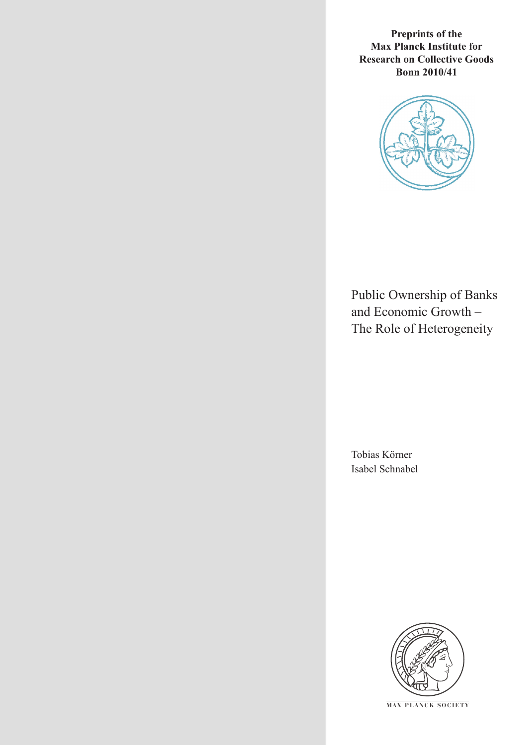**Preprints of the Max Planck Institute for Research on Collective Goods Bonn 2010/41**



Public Ownership of Banks and Economic Growth – The Role of Heterogeneity

Tobias Körner Isabel Schnabel



**M AX P L A N C K S O C I E T Y**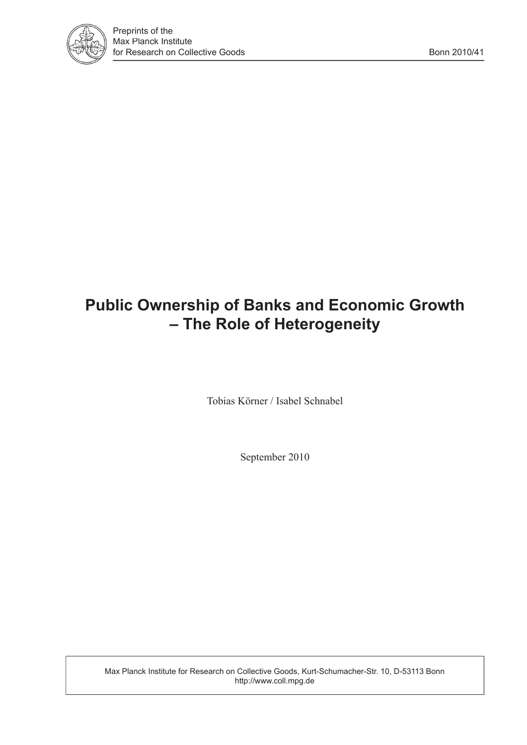

# **Public Ownership of Banks and Economic Growth – The Role of Heterogeneity**

Tobias Körner / Isabel Schnabel

September 2010

Max Planck Institute for Research on Collective Goods, Kurt-Schumacher-Str. 10, D-53113 Bonn http://www.coll.mpg.de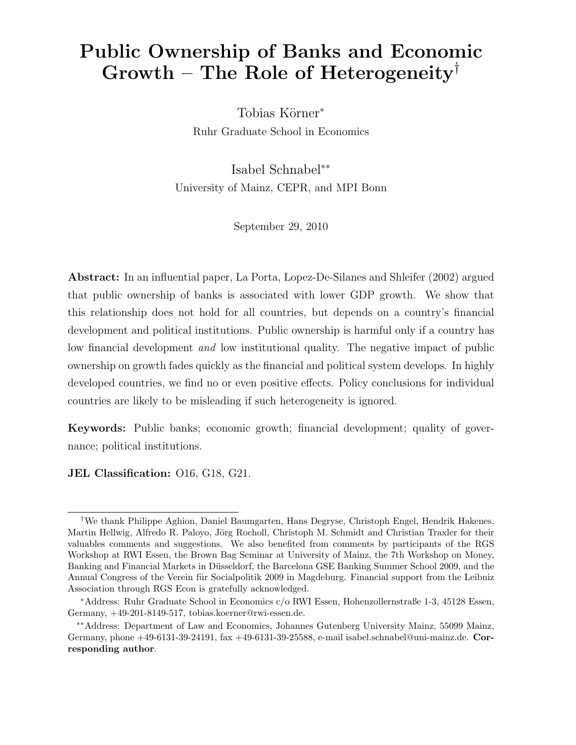# Public Ownership of Banks and Economic Growth – The Role of Heterogeneity<sup>†</sup>

Tobias Körner<sup>\*</sup> Ruhr Graduate School in Economics

Isabel Schnabel∗∗ University of Mainz, CEPR, and MPI Bonn

September 29, 2010

Abstract: In an influential paper, La Porta, Lopez-De-Silanes and Shleifer (2002) argued that public ownership of banks is associated with lower GDP growth. We show that this relationship does not hold for all countries, but depends on a country's financial development and political institutions. Public ownership is harmful only if a country has low financial development and low institutional quality. The negative impact of public ownership on growth fades quickly as the financial and political system develops. In highly developed countries, we find no or even positive effects. Policy conclusions for individual countries are likely to be misleading if such heterogeneity is ignored.

Keywords: Public banks; economic growth; financial development; quality of governance; political institutions.

JEL Classification: O16, G18, G21.

<sup>†</sup>We thank Philippe Aghion, Daniel Baumgarten, Hans Degryse, Christoph Engel, Hendrik Hakenes, Martin Hellwig, Alfredo R. Paloyo, Jörg Rocholl, Christoph M. Schmidt and Christian Traxler for their valuables comments and suggestions. We also benefited from comments by participants of the RGS Workshop at RWI Essen, the Brown Bag Seminar at University of Mainz, the 7th Workshop on Money, Banking and Financial Markets in Düsseldorf, the Barcelona GSE Banking Summer School 2009, and the Annual Congress of the Verein für Socialpolitik 2009 in Magdeburg. Financial support from the Leibniz Association through RGS Econ is gratefully acknowledged.

<sup>∗</sup>Address: Ruhr Graduate School in Economics c/o RWI Essen, Hohenzollernstraße 1-3, 45128 Essen, Germany, +49-201-8149-517, tobias.koerner@rwi-essen.de.

<sup>∗∗</sup>Address: Department of Law and Economics, Johannes Gutenberg University Mainz, 55099 Mainz, Germany, phone +49-6131-39-24191, fax +49-6131-39-25588, e-mail isabel.schnabel@uni-mainz.de. Corresponding author.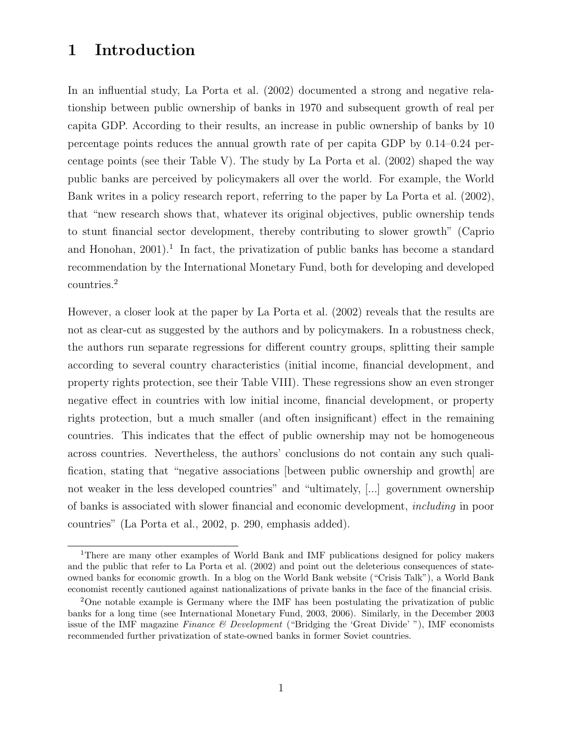## 1 Introduction

In an influential study, La Porta et al. (2002) documented a strong and negative relationship between public ownership of banks in 1970 and subsequent growth of real per capita GDP. According to their results, an increase in public ownership of banks by 10 percentage points reduces the annual growth rate of per capita GDP by 0.14–0.24 percentage points (see their Table V). The study by La Porta et al. (2002) shaped the way public banks are perceived by policymakers all over the world. For example, the World Bank writes in a policy research report, referring to the paper by La Porta et al. (2002), that "new research shows that, whatever its original objectives, public ownership tends to stunt financial sector development, thereby contributing to slower growth" (Caprio and Honohan,  $2001$ <sup>1</sup>. In fact, the privatization of public banks has become a standard recommendation by the International Monetary Fund, both for developing and developed countries.<sup>2</sup>

However, a closer look at the paper by La Porta et al. (2002) reveals that the results are not as clear-cut as suggested by the authors and by policymakers. In a robustness check, the authors run separate regressions for different country groups, splitting their sample according to several country characteristics (initial income, financial development, and property rights protection, see their Table VIII). These regressions show an even stronger negative effect in countries with low initial income, financial development, or property rights protection, but a much smaller (and often insignificant) effect in the remaining countries. This indicates that the effect of public ownership may not be homogeneous across countries. Nevertheless, the authors' conclusions do not contain any such qualification, stating that "negative associations [between public ownership and growth] are not weaker in the less developed countries" and "ultimately, [...] government ownership of banks is associated with slower financial and economic development, including in poor countries" (La Porta et al., 2002, p. 290, emphasis added).

<sup>1</sup>There are many other examples of World Bank and IMF publications designed for policy makers and the public that refer to La Porta et al. (2002) and point out the deleterious consequences of stateowned banks for economic growth. In a blog on the World Bank website ("Crisis Talk"), a World Bank economist recently cautioned against nationalizations of private banks in the face of the financial crisis.

<sup>2</sup>One notable example is Germany where the IMF has been postulating the privatization of public banks for a long time (see International Monetary Fund, 2003, 2006). Similarly, in the December 2003 issue of the IMF magazine Finance  $\mathcal B$  Development ("Bridging the 'Great Divide'"), IMF economists recommended further privatization of state-owned banks in former Soviet countries.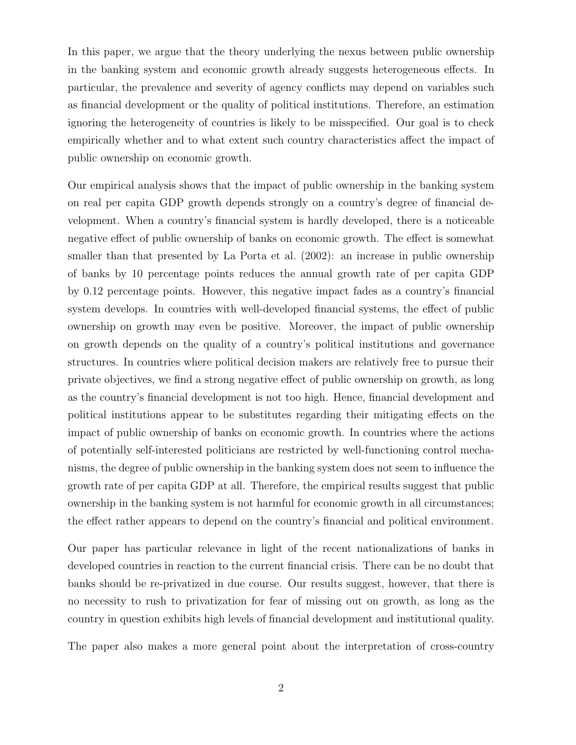In this paper, we argue that the theory underlying the nexus between public ownership in the banking system and economic growth already suggests heterogeneous effects. In particular, the prevalence and severity of agency conflicts may depend on variables such as financial development or the quality of political institutions. Therefore, an estimation ignoring the heterogeneity of countries is likely to be misspecified. Our goal is to check empirically whether and to what extent such country characteristics affect the impact of public ownership on economic growth.

Our empirical analysis shows that the impact of public ownership in the banking system on real per capita GDP growth depends strongly on a country's degree of financial development. When a country's financial system is hardly developed, there is a noticeable negative effect of public ownership of banks on economic growth. The effect is somewhat smaller than that presented by La Porta et al. (2002): an increase in public ownership of banks by 10 percentage points reduces the annual growth rate of per capita GDP by 0.12 percentage points. However, this negative impact fades as a country's financial system develops. In countries with well-developed financial systems, the effect of public ownership on growth may even be positive. Moreover, the impact of public ownership on growth depends on the quality of a country's political institutions and governance structures. In countries where political decision makers are relatively free to pursue their private objectives, we find a strong negative effect of public ownership on growth, as long as the country's financial development is not too high. Hence, financial development and political institutions appear to be substitutes regarding their mitigating effects on the impact of public ownership of banks on economic growth. In countries where the actions of potentially self-interested politicians are restricted by well-functioning control mechanisms, the degree of public ownership in the banking system does not seem to influence the growth rate of per capita GDP at all. Therefore, the empirical results suggest that public ownership in the banking system is not harmful for economic growth in all circumstances; the effect rather appears to depend on the country's financial and political environment.

Our paper has particular relevance in light of the recent nationalizations of banks in developed countries in reaction to the current financial crisis. There can be no doubt that banks should be re-privatized in due course. Our results suggest, however, that there is no necessity to rush to privatization for fear of missing out on growth, as long as the country in question exhibits high levels of financial development and institutional quality.

The paper also makes a more general point about the interpretation of cross-country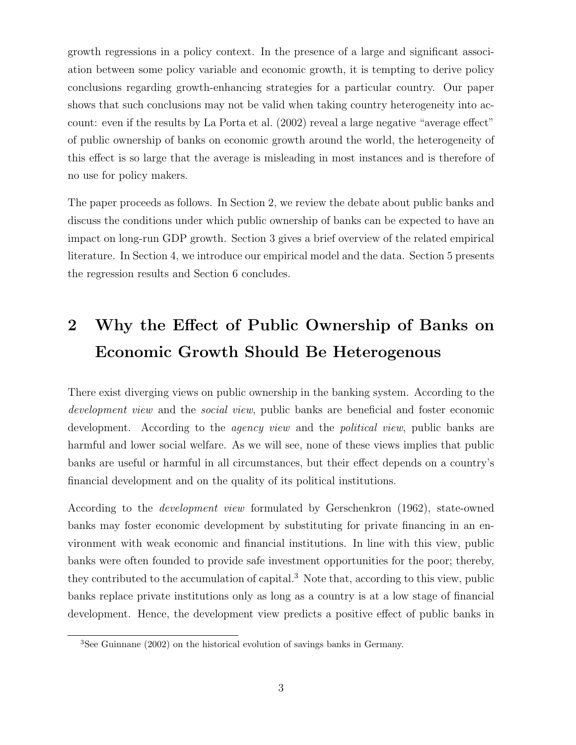growth regressions in a policy context. In the presence of a large and significant association between some policy variable and economic growth, it is tempting to derive policy conclusions regarding growth-enhancing strategies for a particular country. Our paper shows that such conclusions may not be valid when taking country heterogeneity into account: even if the results by La Porta et al. (2002) reveal a large negative "average effect" of public ownership of banks on economic growth around the world, the heterogeneity of this effect is so large that the average is misleading in most instances and is therefore of no use for policy makers.

The paper proceeds as follows. In Section 2, we review the debate about public banks and discuss the conditions under which public ownership of banks can be expected to have an impact on long-run GDP growth. Section 3 gives a brief overview of the related empirical literature. In Section 4, we introduce our empirical model and the data. Section 5 presents the regression results and Section 6 concludes.

# 2 Why the Effect of Public Ownership of Banks on Economic Growth Should Be Heterogenous

There exist diverging views on public ownership in the banking system. According to the development view and the *social view*, public banks are beneficial and foster economic development. According to the *agency view* and the *political view*, public banks are harmful and lower social welfare. As we will see, none of these views implies that public banks are useful or harmful in all circumstances, but their effect depends on a country's financial development and on the quality of its political institutions.

According to the development view formulated by Gerschenkron (1962), state-owned banks may foster economic development by substituting for private financing in an environment with weak economic and financial institutions. In line with this view, public banks were often founded to provide safe investment opportunities for the poor; thereby, they contributed to the accumulation of capital.<sup>3</sup> Note that, according to this view, public banks replace private institutions only as long as a country is at a low stage of financial development. Hence, the development view predicts a positive effect of public banks in

<sup>3</sup>See Guinnane (2002) on the historical evolution of savings banks in Germany.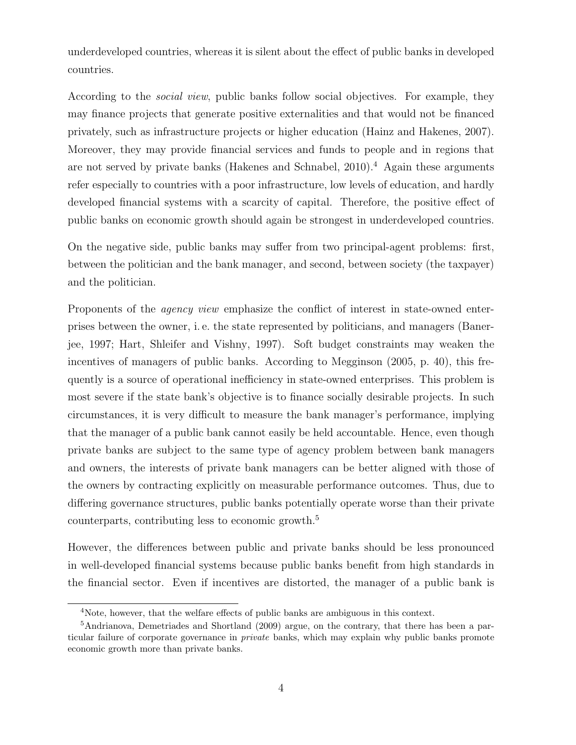underdeveloped countries, whereas it is silent about the effect of public banks in developed countries.

According to the social view, public banks follow social objectives. For example, they may finance projects that generate positive externalities and that would not be financed privately, such as infrastructure projects or higher education (Hainz and Hakenes, 2007). Moreover, they may provide financial services and funds to people and in regions that are not served by private banks (Hakenes and Schnabel, 2010).<sup>4</sup> Again these arguments refer especially to countries with a poor infrastructure, low levels of education, and hardly developed financial systems with a scarcity of capital. Therefore, the positive effect of public banks on economic growth should again be strongest in underdeveloped countries.

On the negative side, public banks may suffer from two principal-agent problems: first, between the politician and the bank manager, and second, between society (the taxpayer) and the politician.

Proponents of the *agency view* emphasize the conflict of interest in state-owned enterprises between the owner, i. e. the state represented by politicians, and managers (Banerjee, 1997; Hart, Shleifer and Vishny, 1997). Soft budget constraints may weaken the incentives of managers of public banks. According to Megginson (2005, p. 40), this frequently is a source of operational inefficiency in state-owned enterprises. This problem is most severe if the state bank's objective is to finance socially desirable projects. In such circumstances, it is very difficult to measure the bank manager's performance, implying that the manager of a public bank cannot easily be held accountable. Hence, even though private banks are subject to the same type of agency problem between bank managers and owners, the interests of private bank managers can be better aligned with those of the owners by contracting explicitly on measurable performance outcomes. Thus, due to differing governance structures, public banks potentially operate worse than their private counterparts, contributing less to economic growth.<sup>5</sup>

However, the differences between public and private banks should be less pronounced in well-developed financial systems because public banks benefit from high standards in the financial sector. Even if incentives are distorted, the manager of a public bank is

<sup>4</sup>Note, however, that the welfare effects of public banks are ambiguous in this context.

<sup>5</sup>Andrianova, Demetriades and Shortland (2009) argue, on the contrary, that there has been a particular failure of corporate governance in private banks, which may explain why public banks promote economic growth more than private banks.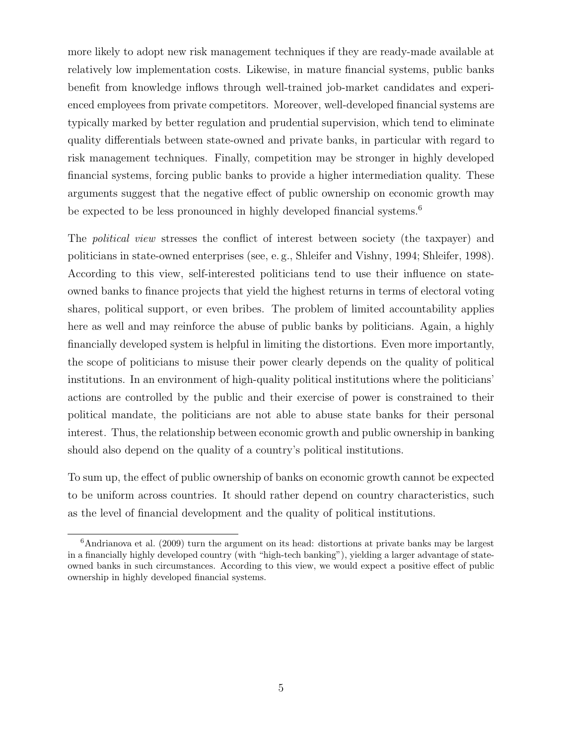more likely to adopt new risk management techniques if they are ready-made available at relatively low implementation costs. Likewise, in mature financial systems, public banks benefit from knowledge inflows through well-trained job-market candidates and experienced employees from private competitors. Moreover, well-developed financial systems are typically marked by better regulation and prudential supervision, which tend to eliminate quality differentials between state-owned and private banks, in particular with regard to risk management techniques. Finally, competition may be stronger in highly developed financial systems, forcing public banks to provide a higher intermediation quality. These arguments suggest that the negative effect of public ownership on economic growth may be expected to be less pronounced in highly developed financial systems.<sup>6</sup>

The political view stresses the conflict of interest between society (the taxpayer) and politicians in state-owned enterprises (see, e. g., Shleifer and Vishny, 1994; Shleifer, 1998). According to this view, self-interested politicians tend to use their influence on stateowned banks to finance projects that yield the highest returns in terms of electoral voting shares, political support, or even bribes. The problem of limited accountability applies here as well and may reinforce the abuse of public banks by politicians. Again, a highly financially developed system is helpful in limiting the distortions. Even more importantly, the scope of politicians to misuse their power clearly depends on the quality of political institutions. In an environment of high-quality political institutions where the politicians' actions are controlled by the public and their exercise of power is constrained to their political mandate, the politicians are not able to abuse state banks for their personal interest. Thus, the relationship between economic growth and public ownership in banking should also depend on the quality of a country's political institutions.

To sum up, the effect of public ownership of banks on economic growth cannot be expected to be uniform across countries. It should rather depend on country characteristics, such as the level of financial development and the quality of political institutions.

<sup>6</sup>Andrianova et al. (2009) turn the argument on its head: distortions at private banks may be largest in a financially highly developed country (with "high-tech banking"), yielding a larger advantage of stateowned banks in such circumstances. According to this view, we would expect a positive effect of public ownership in highly developed financial systems.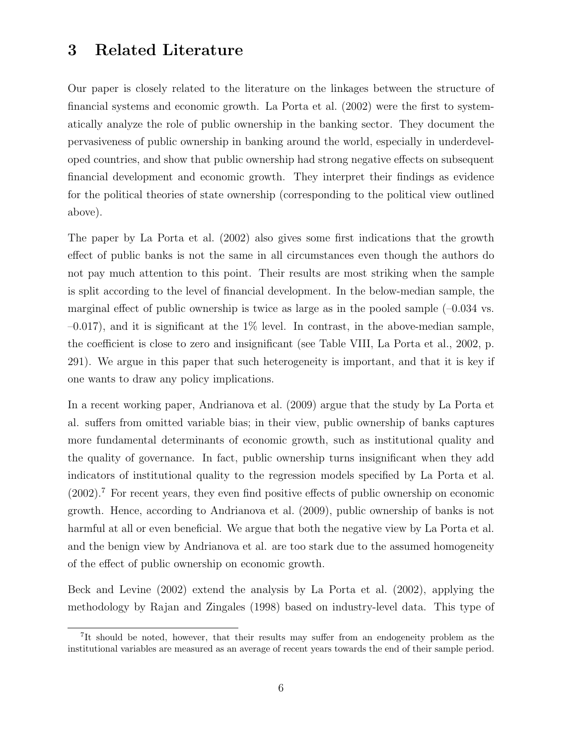## 3 Related Literature

Our paper is closely related to the literature on the linkages between the structure of financial systems and economic growth. La Porta et al. (2002) were the first to systematically analyze the role of public ownership in the banking sector. They document the pervasiveness of public ownership in banking around the world, especially in underdeveloped countries, and show that public ownership had strong negative effects on subsequent financial development and economic growth. They interpret their findings as evidence for the political theories of state ownership (corresponding to the political view outlined above).

The paper by La Porta et al. (2002) also gives some first indications that the growth effect of public banks is not the same in all circumstances even though the authors do not pay much attention to this point. Their results are most striking when the sample is split according to the level of financial development. In the below-median sample, the marginal effect of public ownership is twice as large as in the pooled sample  $(-0.034 \text{ vs.})$  $-0.017$ , and it is significant at the  $1\%$  level. In contrast, in the above-median sample, the coefficient is close to zero and insignificant (see Table VIII, La Porta et al., 2002, p. 291). We argue in this paper that such heterogeneity is important, and that it is key if one wants to draw any policy implications.

In a recent working paper, Andrianova et al. (2009) argue that the study by La Porta et al. suffers from omitted variable bias; in their view, public ownership of banks captures more fundamental determinants of economic growth, such as institutional quality and the quality of governance. In fact, public ownership turns insignificant when they add indicators of institutional quality to the regression models specified by La Porta et al. (2002).<sup>7</sup> For recent years, they even find positive effects of public ownership on economic growth. Hence, according to Andrianova et al. (2009), public ownership of banks is not harmful at all or even beneficial. We argue that both the negative view by La Porta et al. and the benign view by Andrianova et al. are too stark due to the assumed homogeneity of the effect of public ownership on economic growth.

Beck and Levine (2002) extend the analysis by La Porta et al. (2002), applying the methodology by Rajan and Zingales (1998) based on industry-level data. This type of

<sup>&</sup>lt;sup>7</sup>It should be noted, however, that their results may suffer from an endogeneity problem as the institutional variables are measured as an average of recent years towards the end of their sample period.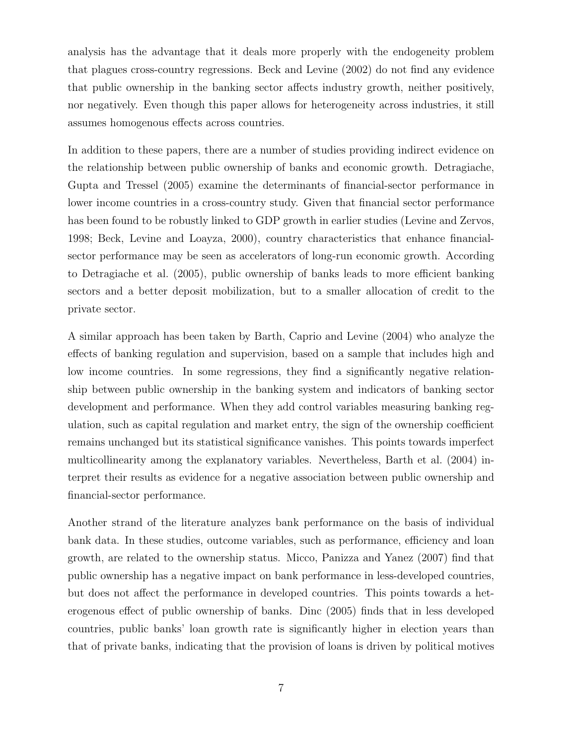analysis has the advantage that it deals more properly with the endogeneity problem that plagues cross-country regressions. Beck and Levine (2002) do not find any evidence that public ownership in the banking sector affects industry growth, neither positively, nor negatively. Even though this paper allows for heterogeneity across industries, it still assumes homogenous effects across countries.

In addition to these papers, there are a number of studies providing indirect evidence on the relationship between public ownership of banks and economic growth. Detragiache, Gupta and Tressel (2005) examine the determinants of financial-sector performance in lower income countries in a cross-country study. Given that financial sector performance has been found to be robustly linked to GDP growth in earlier studies (Levine and Zervos, 1998; Beck, Levine and Loayza, 2000), country characteristics that enhance financialsector performance may be seen as accelerators of long-run economic growth. According to Detragiache et al. (2005), public ownership of banks leads to more efficient banking sectors and a better deposit mobilization, but to a smaller allocation of credit to the private sector.

A similar approach has been taken by Barth, Caprio and Levine (2004) who analyze the effects of banking regulation and supervision, based on a sample that includes high and low income countries. In some regressions, they find a significantly negative relationship between public ownership in the banking system and indicators of banking sector development and performance. When they add control variables measuring banking regulation, such as capital regulation and market entry, the sign of the ownership coefficient remains unchanged but its statistical significance vanishes. This points towards imperfect multicollinearity among the explanatory variables. Nevertheless, Barth et al. (2004) interpret their results as evidence for a negative association between public ownership and financial-sector performance.

Another strand of the literature analyzes bank performance on the basis of individual bank data. In these studies, outcome variables, such as performance, efficiency and loan growth, are related to the ownership status. Micco, Panizza and Yanez (2007) find that public ownership has a negative impact on bank performance in less-developed countries, but does not affect the performance in developed countries. This points towards a heterogenous effect of public ownership of banks. Dinc (2005) finds that in less developed countries, public banks' loan growth rate is significantly higher in election years than that of private banks, indicating that the provision of loans is driven by political motives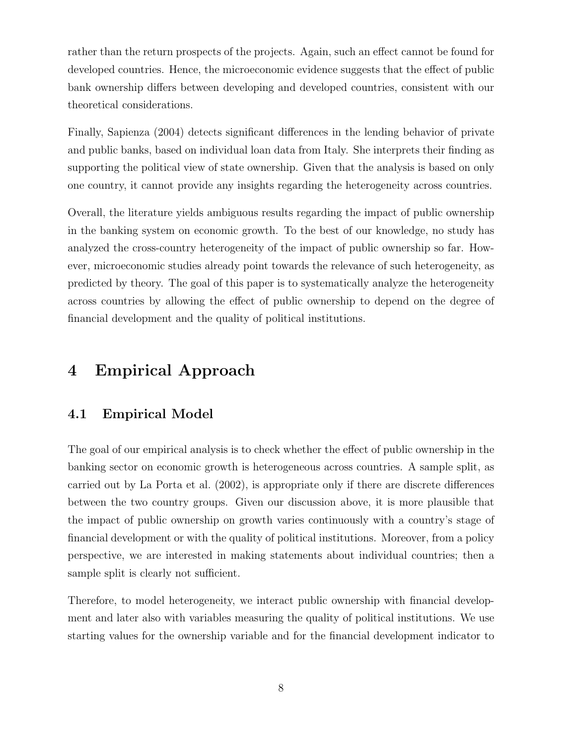rather than the return prospects of the projects. Again, such an effect cannot be found for developed countries. Hence, the microeconomic evidence suggests that the effect of public bank ownership differs between developing and developed countries, consistent with our theoretical considerations.

Finally, Sapienza (2004) detects significant differences in the lending behavior of private and public banks, based on individual loan data from Italy. She interprets their finding as supporting the political view of state ownership. Given that the analysis is based on only one country, it cannot provide any insights regarding the heterogeneity across countries.

Overall, the literature yields ambiguous results regarding the impact of public ownership in the banking system on economic growth. To the best of our knowledge, no study has analyzed the cross-country heterogeneity of the impact of public ownership so far. However, microeconomic studies already point towards the relevance of such heterogeneity, as predicted by theory. The goal of this paper is to systematically analyze the heterogeneity across countries by allowing the effect of public ownership to depend on the degree of financial development and the quality of political institutions.

# 4 Empirical Approach

#### 4.1 Empirical Model

The goal of our empirical analysis is to check whether the effect of public ownership in the banking sector on economic growth is heterogeneous across countries. A sample split, as carried out by La Porta et al. (2002), is appropriate only if there are discrete differences between the two country groups. Given our discussion above, it is more plausible that the impact of public ownership on growth varies continuously with a country's stage of financial development or with the quality of political institutions. Moreover, from a policy perspective, we are interested in making statements about individual countries; then a sample split is clearly not sufficient.

Therefore, to model heterogeneity, we interact public ownership with financial development and later also with variables measuring the quality of political institutions. We use starting values for the ownership variable and for the financial development indicator to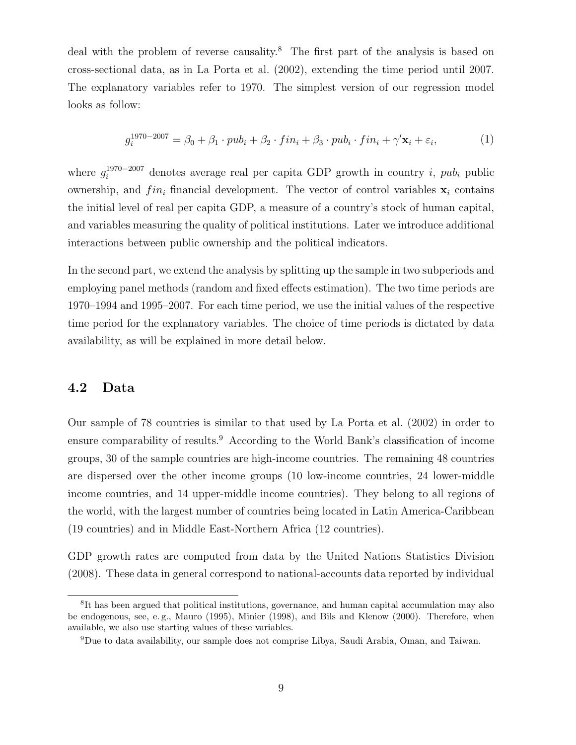deal with the problem of reverse causality.<sup>8</sup> The first part of the analysis is based on cross-sectional data, as in La Porta et al. (2002), extending the time period until 2007. The explanatory variables refer to 1970. The simplest version of our regression model looks as follow:

$$
g_i^{1970-2007} = \beta_0 + \beta_1 \cdot pub_i + \beta_2 \cdot fin_i + \beta_3 \cdot pub_i \cdot fin_i + \gamma' \mathbf{x}_i + \varepsilon_i,
$$
\n(1)

where  $g_i^{1970-2007}$  denotes average real per capita GDP growth in country i, public ownership, and  $fin_i$  financial development. The vector of control variables  $x_i$  contains the initial level of real per capita GDP, a measure of a country's stock of human capital, and variables measuring the quality of political institutions. Later we introduce additional interactions between public ownership and the political indicators.

In the second part, we extend the analysis by splitting up the sample in two subperiods and employing panel methods (random and fixed effects estimation). The two time periods are 1970–1994 and 1995–2007. For each time period, we use the initial values of the respective time period for the explanatory variables. The choice of time periods is dictated by data availability, as will be explained in more detail below.

#### 4.2 Data

Our sample of 78 countries is similar to that used by La Porta et al. (2002) in order to ensure comparability of results.<sup>9</sup> According to the World Bank's classification of income groups, 30 of the sample countries are high-income countries. The remaining 48 countries are dispersed over the other income groups (10 low-income countries, 24 lower-middle income countries, and 14 upper-middle income countries). They belong to all regions of the world, with the largest number of countries being located in Latin America-Caribbean (19 countries) and in Middle East-Northern Africa (12 countries).

GDP growth rates are computed from data by the United Nations Statistics Division (2008). These data in general correspond to national-accounts data reported by individual

<sup>&</sup>lt;sup>8</sup>It has been argued that political institutions, governance, and human capital accumulation may also be endogenous, see, e. g., Mauro (1995), Minier (1998), and Bils and Klenow (2000). Therefore, when available, we also use starting values of these variables.

<sup>9</sup>Due to data availability, our sample does not comprise Libya, Saudi Arabia, Oman, and Taiwan.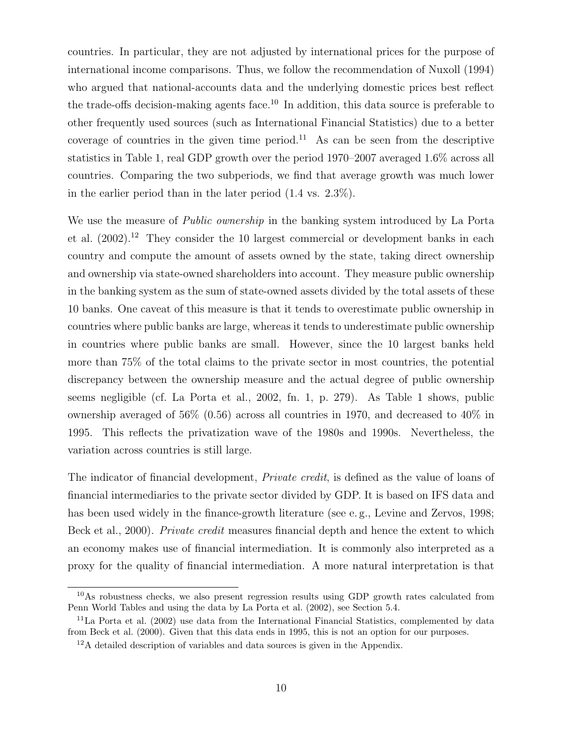countries. In particular, they are not adjusted by international prices for the purpose of international income comparisons. Thus, we follow the recommendation of Nuxoll (1994) who argued that national-accounts data and the underlying domestic prices best reflect the trade-offs decision-making agents face.<sup>10</sup> In addition, this data source is preferable to other frequently used sources (such as International Financial Statistics) due to a better coverage of countries in the given time period.<sup>11</sup> As can be seen from the descriptive statistics in Table 1, real GDP growth over the period 1970–2007 averaged 1.6% across all countries. Comparing the two subperiods, we find that average growth was much lower in the earlier period than in the later period (1.4 vs. 2.3%).

We use the measure of *Public ownership* in the banking system introduced by La Porta et al. (2002).<sup>12</sup> They consider the 10 largest commercial or development banks in each country and compute the amount of assets owned by the state, taking direct ownership and ownership via state-owned shareholders into account. They measure public ownership in the banking system as the sum of state-owned assets divided by the total assets of these 10 banks. One caveat of this measure is that it tends to overestimate public ownership in countries where public banks are large, whereas it tends to underestimate public ownership in countries where public banks are small. However, since the 10 largest banks held more than 75% of the total claims to the private sector in most countries, the potential discrepancy between the ownership measure and the actual degree of public ownership seems negligible (cf. La Porta et al., 2002, fn. 1, p. 279). As Table 1 shows, public ownership averaged of 56% (0.56) across all countries in 1970, and decreased to 40% in 1995. This reflects the privatization wave of the 1980s and 1990s. Nevertheless, the variation across countries is still large.

The indicator of financial development, Private credit, is defined as the value of loans of financial intermediaries to the private sector divided by GDP. It is based on IFS data and has been used widely in the finance-growth literature (see e.g., Levine and Zervos, 1998; Beck et al., 2000). *Private credit* measures financial depth and hence the extent to which an economy makes use of financial intermediation. It is commonly also interpreted as a proxy for the quality of financial intermediation. A more natural interpretation is that

<sup>10</sup>As robustness checks, we also present regression results using GDP growth rates calculated from Penn World Tables and using the data by La Porta et al. (2002), see Section 5.4.

 $11$ La Porta et al. (2002) use data from the International Financial Statistics, complemented by data from Beck et al. (2000). Given that this data ends in 1995, this is not an option for our purposes.

<sup>12</sup>A detailed description of variables and data sources is given in the Appendix.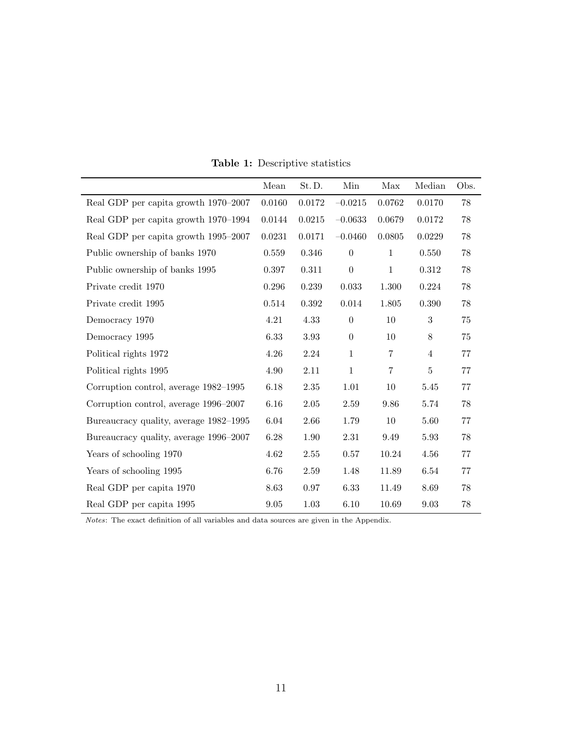|                                        | Mean   | St.D.      | Min              | Max          | Median         | Obs. |
|----------------------------------------|--------|------------|------------------|--------------|----------------|------|
| Real GDP per capita growth 1970–2007   | 0.0160 | 0.0172     | $-0.0215$        | 0.0762       | 0.0170         | 78   |
| Real GDP per capita growth 1970–1994   | 0.0144 | 0.0215     | $-0.0633$        | 0.0679       | 0.0172         | 78   |
| Real GDP per capita growth 1995–2007   | 0.0231 | $0.0171\,$ | $-0.0460$        | 0.0805       | 0.0229         | 78   |
| Public ownership of banks 1970         | 0.559  | 0.346      | $\boldsymbol{0}$ | $\mathbf{1}$ | 0.550          | 78   |
| Public ownership of banks 1995         | 0.397  | 0.311      | $\boldsymbol{0}$ | $\mathbf{1}$ | 0.312          | 78   |
| Private credit 1970                    | 0.296  | 0.239      | 0.033            | 1.300        | 0.224          | 78   |
| Private credit 1995                    | 0.514  | 0.392      | 0.014            | 1.805        | 0.390          | 78   |
| Democracy 1970                         | 4.21   | 4.33       | $\boldsymbol{0}$ | 10           | 3              | 75   |
| Democracy 1995                         | 6.33   | 3.93       | $\boldsymbol{0}$ | 10           | $8\,$          | 75   |
| Political rights 1972                  | 4.26   | 2.24       | $\mathbf{1}$     | 7            | $\overline{4}$ | 77   |
| Political rights 1995                  | 4.90   | 2.11       | $\mathbf{1}$     | 7            | $\overline{5}$ | 77   |
| Corruption control, average 1982–1995  | 6.18   | $2.35\,$   | 1.01             | 10           | 5.45           | 77   |
| Corruption control, average 1996–2007  | 6.16   | 2.05       | 2.59             | 9.86         | 5.74           | 78   |
| Bureaucracy quality, average 1982–1995 | 6.04   | 2.66       | 1.79             | 10           | 5.60           | 77   |
| Bureaucracy quality, average 1996–2007 | 6.28   | 1.90       | 2.31             | 9.49         | 5.93           | 78   |
| Years of schooling 1970                | 4.62   | 2.55       | 0.57             | 10.24        | 4.56           | 77   |
| Years of schooling 1995                | 6.76   | 2.59       | 1.48             | 11.89        | 6.54           | 77   |
| Real GDP per capita 1970               | 8.63   | 0.97       | 6.33             | 11.49        | 8.69           | 78   |
| Real GDP per capita 1995               | 9.05   | 1.03       | 6.10             | 10.69        | 9.03           | 78   |

Table 1: Descriptive statistics

Notes: The exact definition of all variables and data sources are given in the Appendix.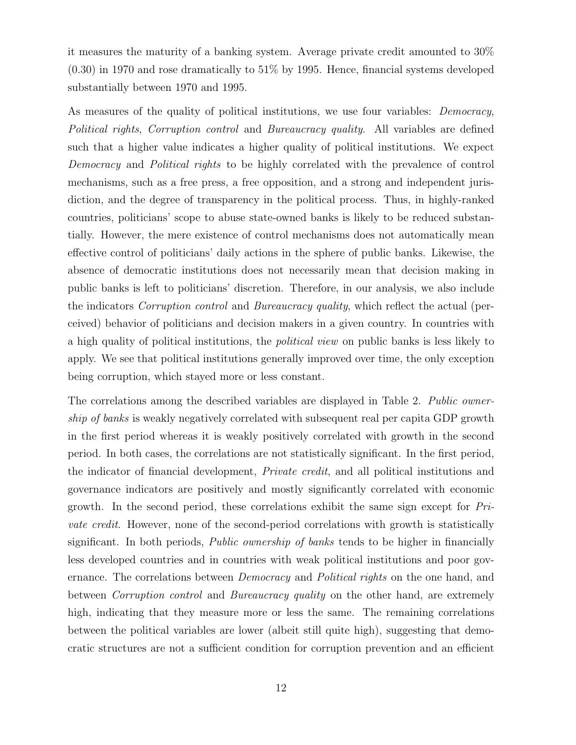it measures the maturity of a banking system. Average private credit amounted to 30%  $(0.30)$  in 1970 and rose dramatically to  $51\%$  by 1995. Hence, financial systems developed substantially between 1970 and 1995.

As measures of the quality of political institutions, we use four variables: *Democracy*, Political rights, Corruption control and Bureaucracy quality. All variables are defined such that a higher value indicates a higher quality of political institutions. We expect Democracy and Political rights to be highly correlated with the prevalence of control mechanisms, such as a free press, a free opposition, and a strong and independent jurisdiction, and the degree of transparency in the political process. Thus, in highly-ranked countries, politicians' scope to abuse state-owned banks is likely to be reduced substantially. However, the mere existence of control mechanisms does not automatically mean effective control of politicians' daily actions in the sphere of public banks. Likewise, the absence of democratic institutions does not necessarily mean that decision making in public banks is left to politicians' discretion. Therefore, in our analysis, we also include the indicators Corruption control and Bureaucracy quality, which reflect the actual (perceived) behavior of politicians and decision makers in a given country. In countries with a high quality of political institutions, the political view on public banks is less likely to apply. We see that political institutions generally improved over time, the only exception being corruption, which stayed more or less constant.

The correlations among the described variables are displayed in Table 2. Public ownership of banks is weakly negatively correlated with subsequent real per capita GDP growth in the first period whereas it is weakly positively correlated with growth in the second period. In both cases, the correlations are not statistically significant. In the first period, the indicator of financial development, Private credit, and all political institutions and governance indicators are positively and mostly significantly correlated with economic growth. In the second period, these correlations exhibit the same sign except for Private credit. However, none of the second-period correlations with growth is statistically significant. In both periods, Public ownership of banks tends to be higher in financially less developed countries and in countries with weak political institutions and poor governance. The correlations between *Democracy* and *Political rights* on the one hand, and between Corruption control and Bureaucracy quality on the other hand, are extremely high, indicating that they measure more or less the same. The remaining correlations between the political variables are lower (albeit still quite high), suggesting that democratic structures are not a sufficient condition for corruption prevention and an efficient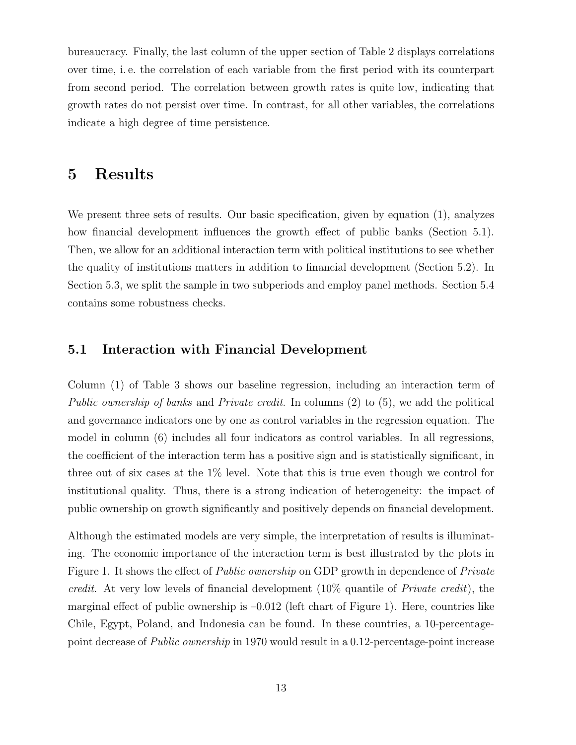bureaucracy. Finally, the last column of the upper section of Table 2 displays correlations over time, i. e. the correlation of each variable from the first period with its counterpart from second period. The correlation between growth rates is quite low, indicating that growth rates do not persist over time. In contrast, for all other variables, the correlations indicate a high degree of time persistence.

## 5 Results

We present three sets of results. Our basic specification, given by equation (1), analyzes how financial development influences the growth effect of public banks (Section 5.1). Then, we allow for an additional interaction term with political institutions to see whether the quality of institutions matters in addition to financial development (Section 5.2). In Section 5.3, we split the sample in two subperiods and employ panel methods. Section 5.4 contains some robustness checks.

#### 5.1 Interaction with Financial Development

Column (1) of Table 3 shows our baseline regression, including an interaction term of Public ownership of banks and Private credit. In columns (2) to (5), we add the political and governance indicators one by one as control variables in the regression equation. The model in column (6) includes all four indicators as control variables. In all regressions, the coefficient of the interaction term has a positive sign and is statistically significant, in three out of six cases at the 1% level. Note that this is true even though we control for institutional quality. Thus, there is a strong indication of heterogeneity: the impact of public ownership on growth significantly and positively depends on financial development.

Although the estimated models are very simple, the interpretation of results is illuminating. The economic importance of the interaction term is best illustrated by the plots in Figure 1. It shows the effect of *Public ownership* on GDP growth in dependence of *Private* credit. At very low levels of financial development (10% quantile of Private credit), the marginal effect of public ownership is  $-0.012$  (left chart of Figure 1). Here, countries like Chile, Egypt, Poland, and Indonesia can be found. In these countries, a 10-percentagepoint decrease of Public ownership in 1970 would result in a 0.12-percentage-point increase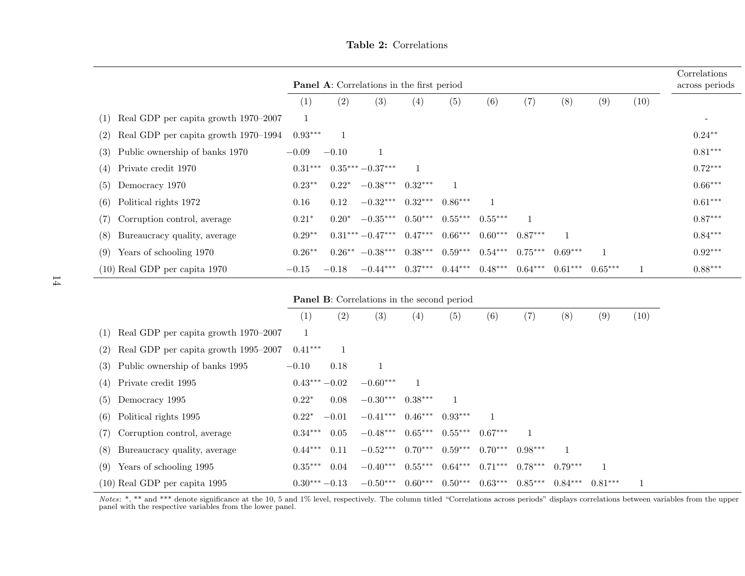| <b>Panel A:</b> Correlations in the first period |           |          |                   |           |           |           |           |           | Correlations<br>across periods |      |           |
|--------------------------------------------------|-----------|----------|-------------------|-----------|-----------|-----------|-----------|-----------|--------------------------------|------|-----------|
|                                                  | (1)       | (2)      | (3)               | (4)       | (5)       | (6)       | (7)       | (8)       | (9)                            | (10) |           |
| Real GDP per capita growth 1970–2007<br>(1)      | 1         |          |                   |           |           |           |           |           |                                |      |           |
| Real GDP per capita growth 1970–1994<br>(2)      | $0.93***$ |          |                   |           |           |           |           |           |                                |      | $0.24***$ |
| (3) Public ownership of banks 1970               | $-0.09$   | $-0.10$  |                   |           |           |           |           |           |                                |      | $0.81***$ |
| $(4)$ Private credit 1970                        | $0.31***$ |          | $0.35***-0.37***$ |           |           |           |           |           |                                |      | $0.72***$ |
| Democracy 1970<br>(5)                            | $0.23**$  | $0.22*$  | $-0.38***$        | $0.32***$ |           |           |           |           |                                |      | $0.66***$ |
| Political rights 1972<br>(6)                     | 0.16      | 0.12     | $-0.32***$        | $0.32***$ | $0.86***$ |           |           |           |                                |      | $0.61***$ |
| Corruption control, average<br>(7)               | $0.21*$   | $0.20*$  | $-0.35***$        | $0.50***$ | $0.55***$ | $0.55***$ |           |           |                                |      | $0.87***$ |
| Bureaucracy quality, average<br>(8)              | $0.29**$  |          | $0.31***-0.47***$ | $0.47***$ | $0.66***$ | $0.60***$ | $0.87***$ |           |                                |      | $0.84***$ |
| Years of schooling 1970<br>(9)                   | $0.26**$  | $0.26**$ | $-0.38***$        | $0.38***$ | $0.59***$ | $0.54***$ | $0.75***$ | $0.69***$ |                                |      | $0.92***$ |
| $(10)$ Real GDP per capita 1970                  | $-0.15$   | $-0.18$  | $-0.44***$        | $0.37***$ | $0.44***$ | $0.48***$ | $0.64***$ | $0.61***$ | $0.65***$                      |      | $0.88***$ |

Table 2: Correlations

Panel B: Correlations in the second period

|                                            | $\left( 1\right)$ | (2)     | (3)                                      | (4)       | (5)       | (6)       | (7)       | (8)       | (9)       | $\left(10\right)$ |
|--------------------------------------------|-------------------|---------|------------------------------------------|-----------|-----------|-----------|-----------|-----------|-----------|-------------------|
| $(1)$ Real GDP per capita growth 1970–2007 |                   |         |                                          |           |           |           |           |           |           |                   |
| $(2)$ Real GDP per capita growth 1995–2007 | $0.41***$         |         |                                          |           |           |           |           |           |           |                   |
| (3) Public ownership of banks 1995         | $-0.10$           | 0.18    | 1                                        |           |           |           |           |           |           |                   |
| $(4)$ Private credit 1995                  | $0.43***-0.02$    |         | $-0.60***$                               |           |           |           |           |           |           |                   |
| $(5)$ Democracy 1995                       | $0.22*$           | 0.08    | $-0.30***$                               | $0.38***$ |           |           |           |           |           |                   |
| $(6)$ Political rights 1995                | $0.22*$           | $-0.01$ | $-0.41***$ $0.46***$                     |           | $0.93***$ |           |           |           |           |                   |
| (7) Corruption control, average            | $0.34***$         | 0.05    | $-0.48***$ $0.65***$ $0.55***$ $0.67***$ |           |           |           |           |           |           |                   |
| (8) Bureaucracy quality, average           | $0.44***$         | 0.11    | $-0.52***$ 0.70***                       |           | $0.59***$ | $0.70***$ | $0.98***$ |           |           |                   |
| $(9)$ Years of schooling 1995              | $0.35***$         | 0.04    | $-0.40***$                               | $0.55***$ | $0.64***$ | $0.71***$ | $0.78***$ | $0.79***$ |           |                   |
| $(10)$ Real GDP per capita 1995            | $0.30***-0.13$    |         | $-0.50***$                               | $0.60***$ | $0.50***$ | $0.63***$ | $0.85***$ | $0.84***$ | $0.81***$ |                   |

Notes: \*, \*\* and \*\*\* denote significance at the 10, 5 and 1% level, respectively. The column titled "Correlations across periods" displays correlations between variables from the upper<br>panel with the respective variables f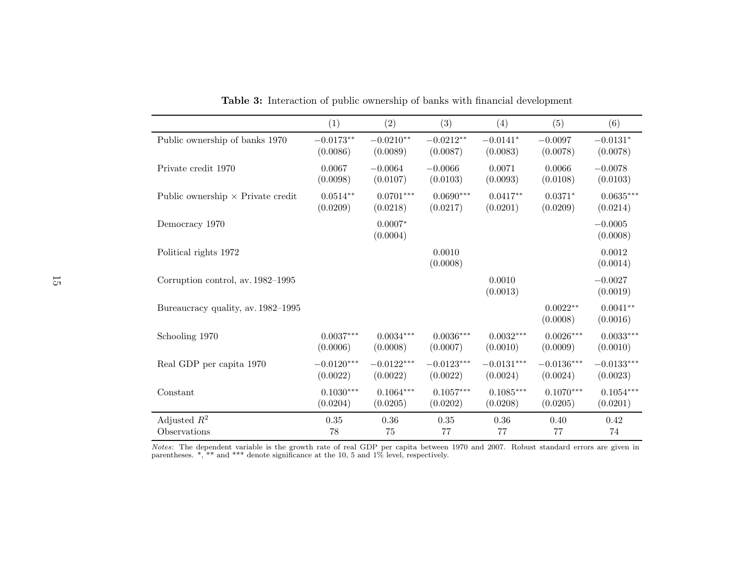|                                          | (1)          | (2)                   | (3)                | (4)                | (5)                    | (6)                    |
|------------------------------------------|--------------|-----------------------|--------------------|--------------------|------------------------|------------------------|
| Public ownership of banks 1970           | $-0.0173**$  | $-0.0210**$           | $-0.0212**$        | $-0.0141*$         | $-0.0097$              | $-0.0131*$             |
|                                          | (0.0086)     | (0.0089)              | (0.0087)           | (0.0083)           | (0.0078)               | (0.0078)               |
| Private credit 1970                      | 0.0067       | $-0.0064$             | $-0.0066$          | 0.0071             | 0.0066                 | $-0.0078$              |
|                                          | (0.0098)     | (0.0107)              | (0.0103)           | (0.0093)           | (0.0108)               | (0.0103)               |
| Public ownership $\times$ Private credit | $0.0514**$   | $0.0701***$           | $0.0690***$        | $0.0417**$         | $0.0371*$              | $0.0635***$            |
|                                          | (0.0209)     | (0.0218)              | (0.0217)           | (0.0201)           | (0.0209)               | (0.0214)               |
| Democracy 1970                           |              | $0.0007*$<br>(0.0004) |                    |                    |                        | $-0.0005$<br>(0.0008)  |
| Political rights 1972                    |              |                       | 0.0010<br>(0.0008) |                    |                        | 0.0012<br>(0.0014)     |
| Corruption control, av. 1982-1995        |              |                       |                    | 0.0010<br>(0.0013) |                        | $-0.0027$<br>(0.0019)  |
| Bureaucracy quality, av. 1982–1995       |              |                       |                    |                    | $0.0022**$<br>(0.0008) | $0.0041**$<br>(0.0016) |
| Schooling 1970                           | $0.0037***$  | $0.0034***$           | $0.0036***$        | $0.0032***$        | $0.0026***$            | $0.0033***$            |
|                                          | (0.0006)     | (0.0008)              | (0.0007)           | (0.0010)           | (0.0009)               | (0.0010)               |
| Real GDP per capita 1970                 | $-0.0120***$ | $-0.0122***$          | $-0.0123***$       | $-0.0131***$       | $-0.0136***$           | $-0.0133***$           |
|                                          | (0.0022)     | (0.0022)              | (0.0022)           | (0.0024)           | (0.0024)               | (0.0023)               |
| Constant                                 | $0.1030***$  | $0.1064***$           | $0.1057***$        | $0.1085***$        | $0.1070***$            | $0.1054***$            |
|                                          | (0.0204)     | (0.0205)              | (0.0202)           | (0.0208)           | (0.0205)               | (0.0201)               |
| Adjusted $R^2$                           | $0.35\,$     | 0.36                  | $0.35\,$           | 0.36               | 0.40                   | 0.42                   |
| Observations                             | 78           | 75                    | 77                 | 77                 | 77                     | 74                     |

Table 3: Interaction of public ownership of banks with financial development

*Notes*: The dependent variable is the growth rate of real GDP per capita between 1970 and 2007. Robust standard errors are given in parentheses.  $*, **$  and  $***$  denote significance at the 10, 5 and 1% level, respectively.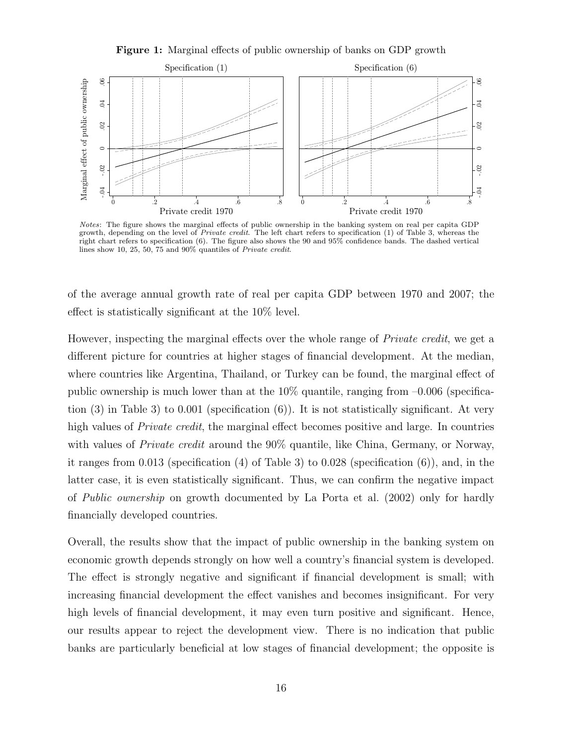Figure 1: Marginal effects of public ownership of banks on GDP growth



Notes: The figure shows the marginal effects of public ownership in the banking system on real per capita GDP growth, depending on the level of *Private credit*. The left chart refers to specification (1) of Table 3, whereas the right chart refers to specification (6). The figure also shows the 90 and 95% confidence bands. The dashed vertical lines show 10, 25, 50, 75 and 90% quantiles of Private credit.

of the average annual growth rate of real per capita GDP between 1970 and 2007; the effect is statistically significant at the 10% level.

However, inspecting the marginal effects over the whole range of Private credit, we get a different picture for countries at higher stages of financial development. At the median, where countries like Argentina, Thailand, or Turkey can be found, the marginal effect of public ownership is much lower than at the  $10\%$  quantile, ranging from  $-0.006$  (specification (3) in Table 3) to 0.001 (specification  $(6)$ ). It is not statistically significant. At very high values of *Private credit*, the marginal effect becomes positive and large. In countries with values of *Private credit* around the 90% quantile, like China, Germany, or Norway, it ranges from 0.013 (specification  $(4)$  of Table 3) to 0.028 (specification  $(6)$ ), and, in the latter case, it is even statistically significant. Thus, we can confirm the negative impact of Public ownership on growth documented by La Porta et al. (2002) only for hardly financially developed countries.

Overall, the results show that the impact of public ownership in the banking system on economic growth depends strongly on how well a country's financial system is developed. The effect is strongly negative and significant if financial development is small; with increasing financial development the effect vanishes and becomes insignificant. For very high levels of financial development, it may even turn positive and significant. Hence, our results appear to reject the development view. There is no indication that public banks are particularly beneficial at low stages of financial development; the opposite is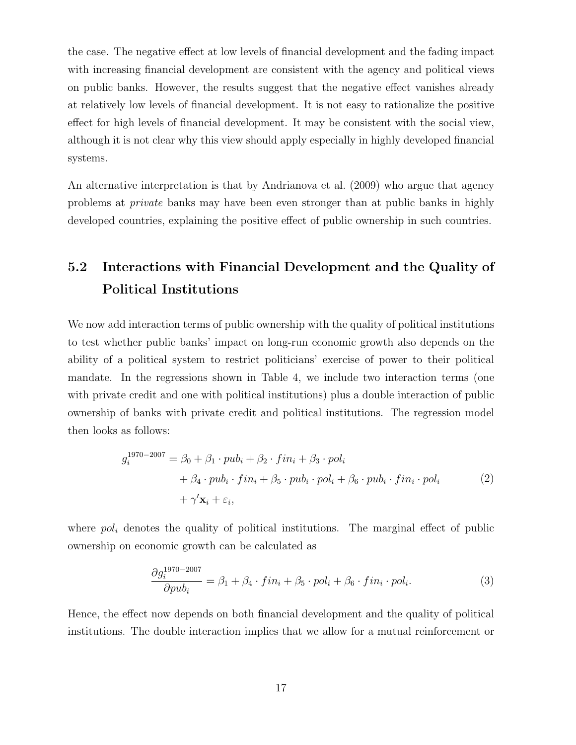the case. The negative effect at low levels of financial development and the fading impact with increasing financial development are consistent with the agency and political views on public banks. However, the results suggest that the negative effect vanishes already at relatively low levels of financial development. It is not easy to rationalize the positive effect for high levels of financial development. It may be consistent with the social view, although it is not clear why this view should apply especially in highly developed financial systems.

An alternative interpretation is that by Andrianova et al. (2009) who argue that agency problems at private banks may have been even stronger than at public banks in highly developed countries, explaining the positive effect of public ownership in such countries.

# 5.2 Interactions with Financial Development and the Quality of Political Institutions

We now add interaction terms of public ownership with the quality of political institutions to test whether public banks' impact on long-run economic growth also depends on the ability of a political system to restrict politicians' exercise of power to their political mandate. In the regressions shown in Table 4, we include two interaction terms (one with private credit and one with political institutions) plus a double interaction of public ownership of banks with private credit and political institutions. The regression model then looks as follows:

$$
g_i^{1970-2007} = \beta_0 + \beta_1 \cdot pub_i + \beta_2 \cdot fin_i + \beta_3 \cdot pol_i
$$
  
+ 
$$
\beta_4 \cdot pub_i \cdot fin_i + \beta_5 \cdot pub_i \cdot pol_i + \beta_6 \cdot pub_i \cdot fin_i \cdot pol_i
$$
  
+ 
$$
\gamma' \mathbf{x}_i + \varepsilon_i,
$$
 (2)

where  $pol<sub>i</sub>$  denotes the quality of political institutions. The marginal effect of public ownership on economic growth can be calculated as

$$
\frac{\partial g_i^{1970-2007}}{\partial pub_i} = \beta_1 + \beta_4 \cdot fin_i + \beta_5 \cdot pol_i + \beta_6 \cdot fin_i \cdot pol_i.
$$
\n(3)

Hence, the effect now depends on both financial development and the quality of political institutions. The double interaction implies that we allow for a mutual reinforcement or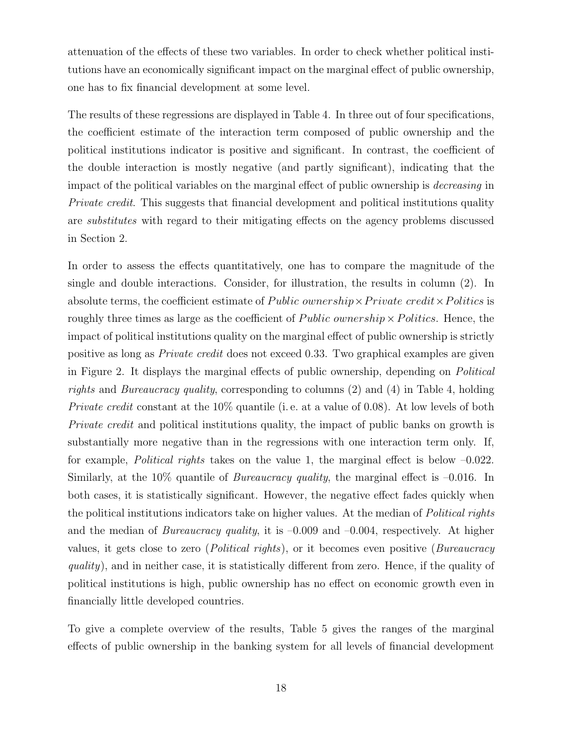attenuation of the effects of these two variables. In order to check whether political institutions have an economically significant impact on the marginal effect of public ownership, one has to fix financial development at some level.

The results of these regressions are displayed in Table 4. In three out of four specifications, the coefficient estimate of the interaction term composed of public ownership and the political institutions indicator is positive and significant. In contrast, the coefficient of the double interaction is mostly negative (and partly significant), indicating that the impact of the political variables on the marginal effect of public ownership is decreasing in Private credit. This suggests that financial development and political institutions quality are substitutes with regard to their mitigating effects on the agency problems discussed in Section 2.

In order to assess the effects quantitatively, one has to compare the magnitude of the single and double interactions. Consider, for illustration, the results in column (2). In absolute terms, the coefficient estimate of *Public ownership*  $\times$  *Private credit*  $\times$  *Politics* is roughly three times as large as the coefficient of *Public ownership*  $\times$  *Politics*. Hence, the impact of political institutions quality on the marginal effect of public ownership is strictly positive as long as Private credit does not exceed 0.33. Two graphical examples are given in Figure 2. It displays the marginal effects of public ownership, depending on Political *rights* and *Bureaucracy quality*, corresponding to columns  $(2)$  and  $(4)$  in Table 4, holding Private credit constant at the 10% quantile (i. e. at a value of 0.08). At low levels of both Private credit and political institutions quality, the impact of public banks on growth is substantially more negative than in the regressions with one interaction term only. If, for example, *Political rights* takes on the value 1, the marginal effect is below  $-0.022$ . Similarly, at the  $10\%$  quantile of *Bureaucracy quality*, the marginal effect is  $-0.016$ . In both cases, it is statistically significant. However, the negative effect fades quickly when the political institutions indicators take on higher values. At the median of Political rights and the median of *Bureaucracy quality*, it is  $-0.009$  and  $-0.004$ , respectively. At higher values, it gets close to zero (Political rights), or it becomes even positive (Bureaucracy quality), and in neither case, it is statistically different from zero. Hence, if the quality of political institutions is high, public ownership has no effect on economic growth even in financially little developed countries.

To give a complete overview of the results, Table 5 gives the ranges of the marginal effects of public ownership in the banking system for all levels of financial development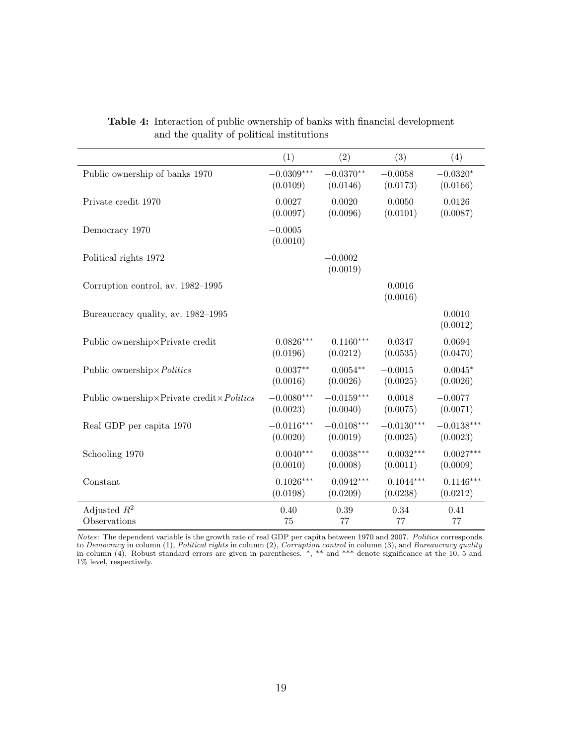|                                                            | (1)                   | (2)                   | (3)                | (4)                |
|------------------------------------------------------------|-----------------------|-----------------------|--------------------|--------------------|
| Public ownership of banks 1970                             | $-0.0309***$          | $-0.0370**$           | $-0.0058$          | $-0.0320*$         |
|                                                            | (0.0109)              | (0.0146)              | (0.0173)           | (0.0166)           |
| Private credit 1970                                        | 0.0027                | 0.0020                | 0.0050             | 0.0126             |
|                                                            | (0.0097)              | (0.0096)              | (0.0101)           | (0.0087)           |
| Democracy 1970                                             | $-0.0005$<br>(0.0010) |                       |                    |                    |
| Political rights 1972                                      |                       | $-0.0002$<br>(0.0019) |                    |                    |
| Corruption control, av. 1982–1995                          |                       |                       | 0.0016<br>(0.0016) |                    |
| Bureaucracy quality, av. 1982–1995                         |                       |                       |                    | 0.0010<br>(0.0012) |
| Public ownership×Private credit                            | $0.0826***$           | $0.1160***$           | 0.0347             | 0.0694             |
|                                                            | (0.0196)              | (0.0212)              | (0.0535)           | (0.0470)           |
| Public ownership × Politics                                | $0.0037**$            | $0.0054**$            | $-0.0015$          | $0.0045*$          |
|                                                            | (0.0016)              | (0.0026)              | (0.0025)           | (0.0026)           |
| Public ownership $\times$ Private credit $\times$ Politics | $-0.0080***$          | $-0.0159***$          | 0.0018             | $-0.0077$          |
|                                                            | (0.0023)              | (0.0040)              | (0.0075)           | (0.0071)           |
| Real GDP per capita 1970                                   | $-0.0116***$          | $-0.0108***$          | $-0.0130***$       | $-0.0138***$       |
|                                                            | (0.0020)              | (0.0019)              | (0.0025)           | (0.0023)           |
| Schooling 1970                                             | $0.0040***$           | $0.0038***$           | $0.0032***$        | $0.0027***$        |
|                                                            | (0.0010)              | (0.0008)              | (0.0011)           | (0.0009)           |
| Constant                                                   | $0.1026***$           | $0.0942***$           | $0.1044***$        | $0.1146***$        |
|                                                            | (0.0198)              | (0.0209)              | (0.0238)           | (0.0212)           |
| Adjusted $R^2$                                             | 0.40                  | 0.39                  | 0.34               | 0.41               |
| Observations                                               | 75                    | 77                    | 77                 | 77                 |

Table 4: Interaction of public ownership of banks with financial development and the quality of political institutions

Notes: The dependent variable is the growth rate of real GDP per capita between 1970 and 2007. Politics corresponds to Democracy in column  $(1)$ , Political rights in column  $(2)$ , Corruption control in column  $(3)$ , and Bureaucracy quality in column (4). Robust standard errors are given in parentheses. \*, \*\* and \*\*\* denote significance at the 10, 5 and 1% level, respectively.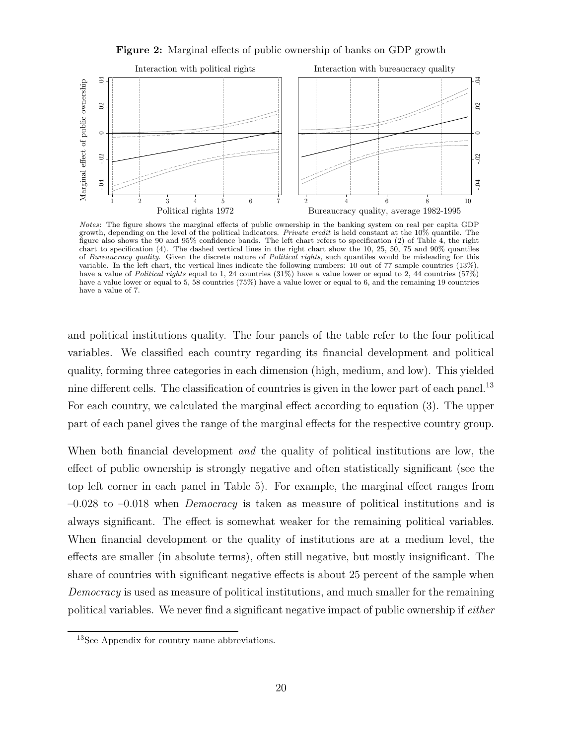Figure 2: Marginal effects of public ownership of banks on GDP growth



Notes: The figure shows the marginal effects of public ownership in the banking system on real per capita GDP growth, depending on the level of the political indicators. Private credit is held constant at the 10% quantile. The figure also shows the 90 and 95% confidence bands. The left chart refers to specification (2) of Table 4, the right chart to specification (4). The dashed vertical lines in the right chart show the 10, 25, 50, 75 and 90% quantiles of Bureaucracy quality. Given the discrete nature of Political rights, such quantiles would be misleading for this variable. In the left chart, the vertical lines indicate the following numbers: 10 out of 77 sample countries (13%), have a value of Political rights equal to 1, 24 countries  $(31\%)$  have a value lower or equal to 2, 44 countries  $(57\%)$ have a value lower or equal to 5, 58 countries (75%) have a value lower or equal to 6, and the remaining 19 countries have a value of 7.

and political institutions quality. The four panels of the table refer to the four political variables. We classified each country regarding its financial development and political quality, forming three categories in each dimension (high, medium, and low). This yielded nine different cells. The classification of countries is given in the lower part of each panel.<sup>13</sup> For each country, we calculated the marginal effect according to equation (3). The upper part of each panel gives the range of the marginal effects for the respective country group.

When both financial development *and* the quality of political institutions are low, the effect of public ownership is strongly negative and often statistically significant (see the top left corner in each panel in Table 5). For example, the marginal effect ranges from  $-0.028$  to  $-0.018$  when *Democracy* is taken as measure of political institutions and is always significant. The effect is somewhat weaker for the remaining political variables. When financial development or the quality of institutions are at a medium level, the effects are smaller (in absolute terms), often still negative, but mostly insignificant. The share of countries with significant negative effects is about 25 percent of the sample when Democracy is used as measure of political institutions, and much smaller for the remaining political variables. We never find a significant negative impact of public ownership if either

<sup>13</sup>See Appendix for country name abbreviations.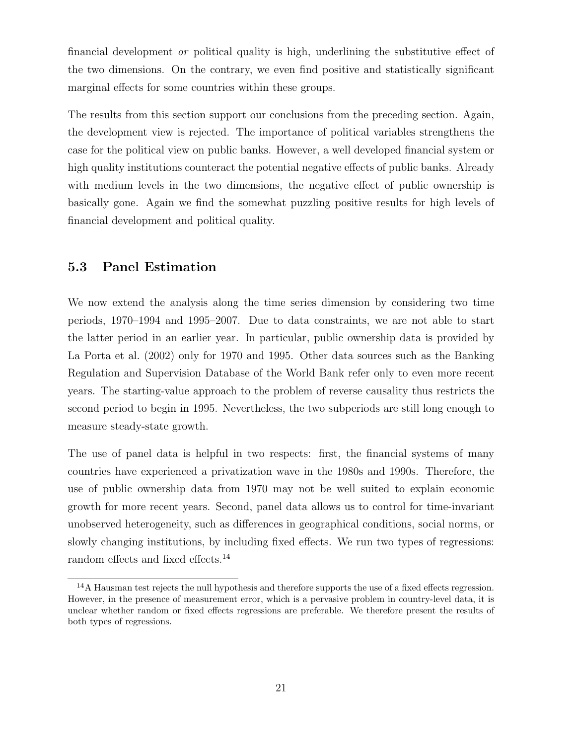financial development or political quality is high, underlining the substitutive effect of the two dimensions. On the contrary, we even find positive and statistically significant marginal effects for some countries within these groups.

The results from this section support our conclusions from the preceding section. Again, the development view is rejected. The importance of political variables strengthens the case for the political view on public banks. However, a well developed financial system or high quality institutions counteract the potential negative effects of public banks. Already with medium levels in the two dimensions, the negative effect of public ownership is basically gone. Again we find the somewhat puzzling positive results for high levels of financial development and political quality.

#### 5.3 Panel Estimation

We now extend the analysis along the time series dimension by considering two time periods, 1970–1994 and 1995–2007. Due to data constraints, we are not able to start the latter period in an earlier year. In particular, public ownership data is provided by La Porta et al. (2002) only for 1970 and 1995. Other data sources such as the Banking Regulation and Supervision Database of the World Bank refer only to even more recent years. The starting-value approach to the problem of reverse causality thus restricts the second period to begin in 1995. Nevertheless, the two subperiods are still long enough to measure steady-state growth.

The use of panel data is helpful in two respects: first, the financial systems of many countries have experienced a privatization wave in the 1980s and 1990s. Therefore, the use of public ownership data from 1970 may not be well suited to explain economic growth for more recent years. Second, panel data allows us to control for time-invariant unobserved heterogeneity, such as differences in geographical conditions, social norms, or slowly changing institutions, by including fixed effects. We run two types of regressions: random effects and fixed effects.<sup>14</sup>

<sup>14</sup>A Hausman test rejects the null hypothesis and therefore supports the use of a fixed effects regression. However, in the presence of measurement error, which is a pervasive problem in country-level data, it is unclear whether random or fixed effects regressions are preferable. We therefore present the results of both types of regressions.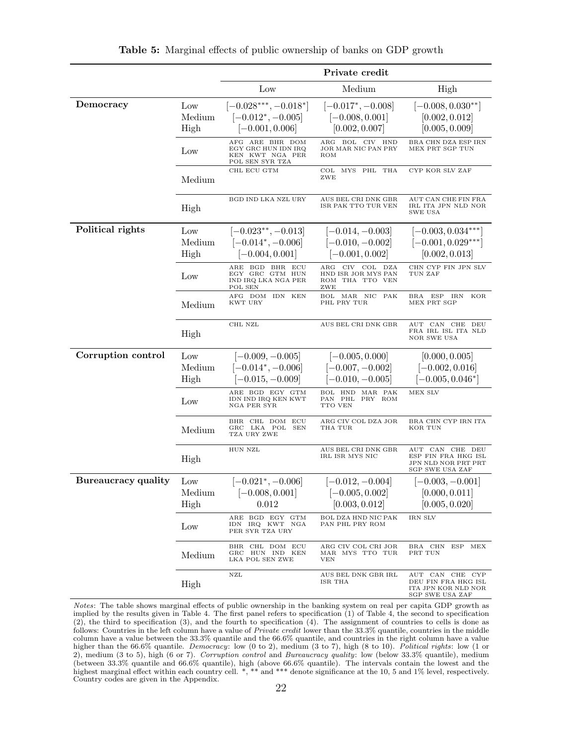|                     |                       |                                                                                       | Private credit                                                                 |                                                                                  |
|---------------------|-----------------------|---------------------------------------------------------------------------------------|--------------------------------------------------------------------------------|----------------------------------------------------------------------------------|
|                     |                       | Low                                                                                   | Medium                                                                         | High                                                                             |
| Democracy           | Low<br>Medium<br>High | $[-0.028***,-0.018*]$<br>$[-0.012^*, -0.005]$<br>$[-0.001, 0.006]$<br>AFG ARE BHR DOM | $[-0.017^*, -0.008]$<br>$[-0.008, 0.001]$<br>[0.002, 0.007]<br>ARG BOL CIV HND | $[-0.008, 0.030**]$<br>[0.002, 0.012]<br>[0.005, 0.009]<br>BRA CHN DZA ESP IRN   |
|                     | Low                   | EGY GRC HUN IDN IRQ<br>KEN KWT NGA PER<br>POL SEN SYR TZA                             | JOR MAR NIC PAN PRY<br>ROM                                                     | MEX PRT SGP TUN                                                                  |
|                     | Medium                | CHL ECU GTM                                                                           | COL MYS PHL THA<br>ZWE                                                         | CYP KOR SLV ZAF                                                                  |
|                     | High                  | BGD IND LKA NZL URY                                                                   | AUS BEL CRI DNK GBR<br>ISR PAK TTO TUR VEN                                     | AUT CAN CHE FIN FRA<br>IRL ITA JPN NLD NOR<br>SWE USA                            |
| Political rights    | Low                   | $[-0.023^{**}, -0.013]$                                                               | $[-0.014, -0.003]$                                                             | $\left[-0.003, 0.034***\right]$                                                  |
|                     | Medium<br>High        | $[-0.014^*, -0.006]$<br>$[-0.004, 0.001]$                                             | $[-0.010, -0.002]$<br>$[-0.001, 0.002]$                                        | $[-0.001, 0.029***]$<br>[0.002, 0.013]                                           |
|                     | Low                   | ARE BGD BHR ECU<br>EGY GRC GTM HUN<br>IND IRQ LKA NGA PER<br>POL SEN                  | CIV COL DZA<br>$\rm{ARG}$<br>HND ISR JOR MYS PAN<br>ROM THA TTO VEN<br>ZWE     | CHN CYP FIN JPN SLV<br>TUN ZAF                                                   |
|                     | Medium                | AFG DOM IDN KEN<br>KWT URY                                                            | BOL MAR NIC<br>PAK<br>PHL PRY TUR                                              | BRA ESP IRN<br>KOR<br>MEX PRT SGP                                                |
|                     | High                  | CHL NZL                                                                               | AUS BEL CRI DNK GBR                                                            | AUT CAN CHE DEU<br>FRA IRL ISL ITA NLD<br>NOR SWE USA                            |
| Corruption control  | Low                   | $[-0.009, -0.005]$                                                                    | $[-0.005, 0.000]$                                                              | [0.000, 0.005]                                                                   |
|                     | Medium                | $[-0.014^*, -0.006]$                                                                  | $[-0.007, -0.002]$                                                             | $[-0.002, 0.016]$                                                                |
|                     | High                  | $[-0.015, -0.009]$                                                                    | $[-0.010, -0.005]$                                                             | $[-0.005, 0.046^*]$                                                              |
|                     | Low                   | ARE BGD EGY GTM<br>IDN IND IRQ KEN KWT<br>NGA PER SYR                                 | BOL HND MAR PAK<br>PAN PHL PRY ROM<br>TTO VEN                                  | MEX SLV                                                                          |
|                     | Medium                | BHR CHL DOM ECU<br>GRC LKA POL<br>SEN<br>TZA URY ZWE                                  | ARG CIV COL DZA JOR<br>THA TUR                                                 | BRA CHN CYP IRN ITA<br>KOR TUN                                                   |
|                     | High                  | HUN NZL                                                                               | AUS BEL CRI DNK GBR<br>IRL ISR MYS NIC                                         | AUT CAN CHE DEU<br>ESP FIN FRA HKG ISL<br>JPN NLD NOR PRT PRT<br>SGP SWE USA ZAF |
| Bureaucracy quality | Low                   | $[-0.021^{\ast}, -0.006]$                                                             | $[-0.012, -0.004]$                                                             | $-0.003, -0.001]$                                                                |
|                     | Medium                | $[-0.008, 0.001]$                                                                     | $[-0.005, 0.002]$                                                              | [0.000, 0.011]                                                                   |
|                     | High                  | 0.012                                                                                 | [0.003, 0.012]                                                                 | [0.005, 0.020]                                                                   |
|                     | Low                   | ARE BGD EGY GTM<br>IDN IRQ KWT NGA<br>PER SYR TZA URY                                 | BOL DZA HND NIC PAK<br>PAN PHL PRY ROM                                         | IRN SLV                                                                          |
|                     | Medium                | BHR CHL DOM ECU<br>GRC HUN IND KEN<br>LKA POL SEN ZWE                                 | ARG CIV COL CRI JOR<br>MAR MYS TTO TUR<br><b>VEN</b>                           | BRA CHN ESP MEX<br>PRT TUN                                                       |
|                     | High                  | NZL                                                                                   | AUS BEL DNK GBR IRL<br>ISR THA                                                 | AUT CAN CHE CYP<br>DEU FIN FRA HKG ISL<br>ITA JPN KOR NLD NOR<br>SCP SWE HSA ZAF |

Table 5: Marginal effects of public ownership of banks on GDP growth

Notes: The table shows marginal effects of public ownership in the banking system on real per capita GDP growth as implied by the results given in Table 4. The first panel refers to specification (1) of Table 4, the second to specification (2), the third to specification (3), and the fourth to specification (4). The assignment of countries to cells is done as follows: Countries in the left column have a value of Private credit lower than the 33.3% quantile, countries in the middle column have a value between the 33.3% quantile and the 66.6% quantile, and countries in the right column have a value higher than the 66.6% quantile. Democracy: low (0 to 2), medium (3 to 7), high (8 to 10). Political rights: low (1 or 2), medium (3 to 5), high (6 or 7). Corruption control and Bureaucracy quality: low (below 33.3% quantile), medium (between 33.3% quantile and 66.6% quantile), high (above 66.6% quantile). The intervals contain the lowest and the highest marginal effect within each country cell. \*, \*\* and \*\*\* denote significance at the 10, 5 and 1% level, respectively. Country codes are given in the Appendix.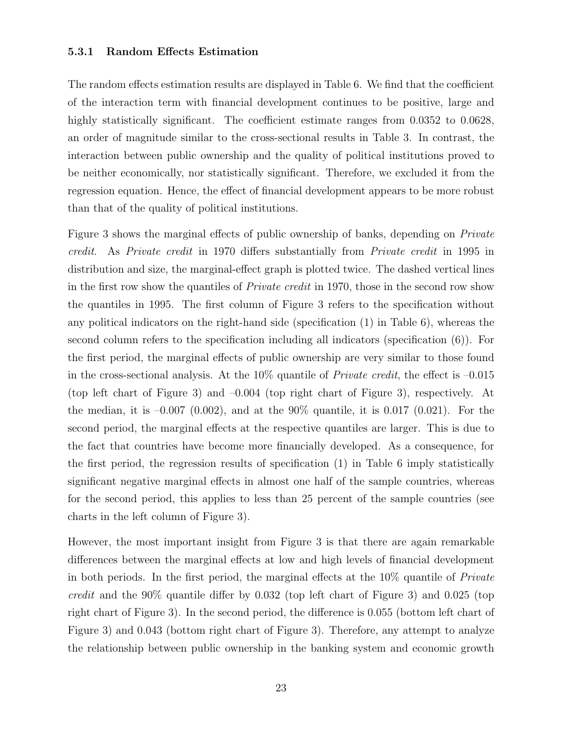#### 5.3.1 Random Effects Estimation

The random effects estimation results are displayed in Table 6. We find that the coefficient of the interaction term with financial development continues to be positive, large and highly statistically significant. The coefficient estimate ranges from 0.0352 to 0.0628, an order of magnitude similar to the cross-sectional results in Table 3. In contrast, the interaction between public ownership and the quality of political institutions proved to be neither economically, nor statistically significant. Therefore, we excluded it from the regression equation. Hence, the effect of financial development appears to be more robust than that of the quality of political institutions.

Figure 3 shows the marginal effects of public ownership of banks, depending on *Private* credit. As Private credit in 1970 differs substantially from Private credit in 1995 in distribution and size, the marginal-effect graph is plotted twice. The dashed vertical lines in the first row show the quantiles of Private credit in 1970, those in the second row show the quantiles in 1995. The first column of Figure 3 refers to the specification without any political indicators on the right-hand side (specification (1) in Table 6), whereas the second column refers to the specification including all indicators (specification (6)). For the first period, the marginal effects of public ownership are very similar to those found in the cross-sectional analysis. At the 10% quantile of *Private credit*, the effect is  $-0.015$ (top left chart of Figure 3) and –0.004 (top right chart of Figure 3), respectively. At the median, it is  $-0.007$  (0.002), and at the 90% quantile, it is 0.017 (0.021). For the second period, the marginal effects at the respective quantiles are larger. This is due to the fact that countries have become more financially developed. As a consequence, for the first period, the regression results of specification (1) in Table 6 imply statistically significant negative marginal effects in almost one half of the sample countries, whereas for the second period, this applies to less than 25 percent of the sample countries (see charts in the left column of Figure 3).

However, the most important insight from Figure 3 is that there are again remarkable differences between the marginal effects at low and high levels of financial development in both periods. In the first period, the marginal effects at the 10% quantile of Private credit and the 90% quantile differ by 0.032 (top left chart of Figure 3) and 0.025 (top right chart of Figure 3). In the second period, the difference is 0.055 (bottom left chart of Figure 3) and 0.043 (bottom right chart of Figure 3). Therefore, any attempt to analyze the relationship between public ownership in the banking system and economic growth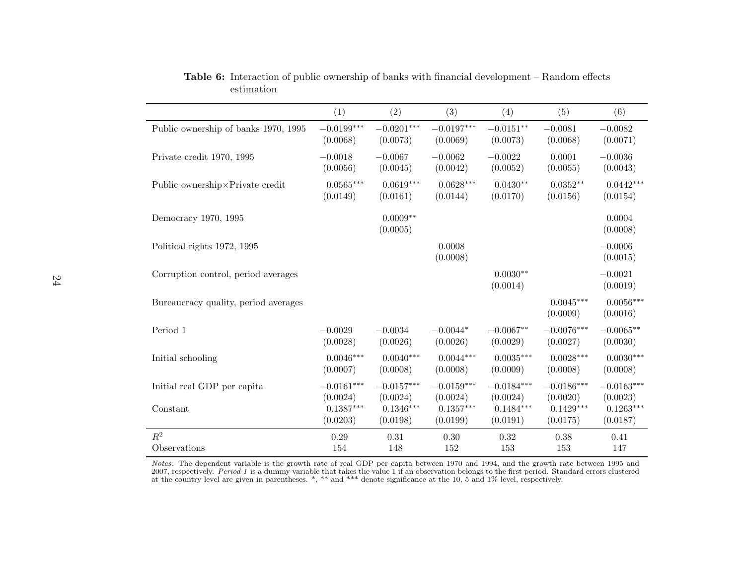|                                      | (1)          | (2)                    | (3)                | (4)                    | (5)                     | (6)                     |
|--------------------------------------|--------------|------------------------|--------------------|------------------------|-------------------------|-------------------------|
| Public ownership of banks 1970, 1995 | $-0.0199***$ | $-0.0201***$           | $-0.0197***$       | $-0.0151**$            | $-0.0081$               | $-0.0082$               |
|                                      | (0.0068)     | (0.0073)               | (0.0069)           | (0.0073)               | (0.0068)                | (0.0071)                |
| Private credit 1970, 1995            | $-0.0018$    | $-0.0067$              | $-0.0062$          | $-0.0022$              | 0.0001                  | $-0.0036$               |
|                                      | (0.0056)     | (0.0045)               | (0.0042)           | (0.0052)               | (0.0055)                | (0.0043)                |
| Public ownership×Private credit      | $0.0565***$  | $0.0619***$            | $0.0628***$        | $0.0430**$             | $0.0352**$              | $0.0442***$             |
|                                      | (0.0149)     | (0.0161)               | (0.0144)           | (0.0170)               | (0.0156)                | (0.0154)                |
| Democracy 1970, 1995                 |              | $0.0009**$<br>(0.0005) |                    |                        |                         | 0.0004<br>(0.0008)      |
| Political rights 1972, 1995          |              |                        | 0.0008<br>(0.0008) |                        |                         | $-0.0006$<br>(0.0015)   |
| Corruption control, period averages  |              |                        |                    | $0.0030**$<br>(0.0014) |                         | $-0.0021$<br>(0.0019)   |
| Bureaucracy quality, period averages |              |                        |                    |                        | $0.0045***$<br>(0.0009) | $0.0056***$<br>(0.0016) |
| Period 1                             | $-0.0029$    | $-0.0034$              | $-0.0044*$         | $-0.0067**$            | $-0.0076***$            | $-0.0065**$             |
|                                      | (0.0028)     | (0.0026)               | (0.0026)           | (0.0029)               | (0.0027)                | (0.0030)                |
| Initial schooling                    | $0.0046***$  | $0.0040***$            | $0.0044***$        | $0.0035***$            | $0.0028***$             | $0.0030***$             |
|                                      | (0.0007)     | (0.0008)               | (0.0008)           | (0.0009)               | (0.0008)                | (0.0008)                |
| Initial real GDP per capita          | $-0.0161***$ | $-0.0157***$           | $-0.0159***$       | $-0.0184***$           | $-0.0186***$            | $-0.0163***$            |
|                                      | (0.0024)     | (0.0024)               | (0.0024)           | (0.0024)               | (0.0020)                | (0.0023)                |
| Constant                             | $0.1387***$  | $0.1346***$            | $0.1357***$        | $0.1484***$            | $0.1429***$             | $0.1263***$             |
|                                      | (0.0203)     | (0.0198)               | (0.0199)           | (0.0191)               | (0.0175)                | (0.0187)                |
| $\mathbb{R}^2$                       | 0.29         | 0.31                   | 0.30               | 0.32                   | 0.38                    | 0.41                    |
| Observations                         | 154          | 148                    | 152                | 153                    | 153                     | 147                     |

Table 6: Interaction of public ownership of banks with financial development – Random effectsestimation

*Notes*: The dependent variable is the growth rate of real GDP per capita between 1970 and 1994, and the growth rate between 1995 and 2007, respectively. *Period 1* is a dummy variable that takes the value 1 if an observat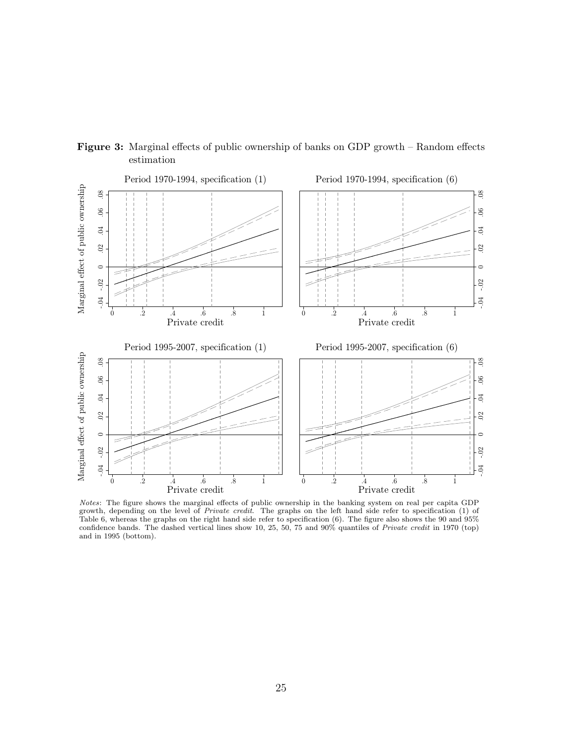

Figure 3: Marginal effects of public ownership of banks on GDP growth – Random effects estimation

Notes: The figure shows the marginal effects of public ownership in the banking system on real per capita GDP growth, depending on the level of *Private credit*. The graphs on the left hand side refer to specification (1) of Table 6, whereas the graphs on the right hand side refer to specification (6). The figure also shows the 90 and 95% confidence bands. The dashed vertical lines show 10, 25, 50, 75 and 90% quantiles of Private credit in 1970 (top) and in 1995 (bottom).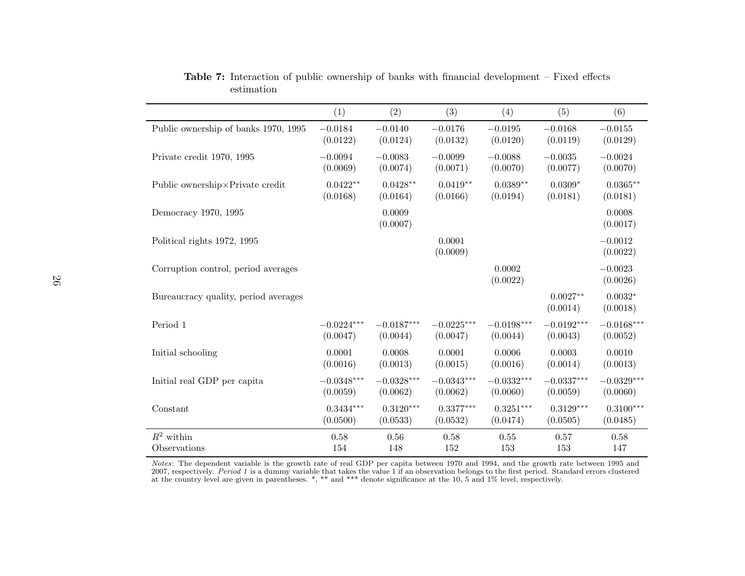|                                      | (1)          | (2)                | (3)                | (4)                      | (5)                    | (6)                   |
|--------------------------------------|--------------|--------------------|--------------------|--------------------------|------------------------|-----------------------|
| Public ownership of banks 1970, 1995 | $-0.0184$    | $-0.0140$          | $-0.0176$          | $-0.0195$                | $-0.0168$              | $-0.0155$             |
|                                      | (0.0122)     | (0.0124)           | (0.0132)           | (0.0120)                 | (0.0119)               | (0.0129)              |
| Private credit 1970, 1995            | $-0.0094$    | $-0.0083$          | $-0.0099$          | $-0.0088$                | $-0.0035$              | $-0.0024$             |
|                                      | (0.0069)     | (0.0074)           | (0.0071)           | (0.0070)                 | (0.0077)               | (0.0070)              |
| Public ownership × Private credit    | $0.0422**$   | $0.0428**$         | $0.0419**$         | $0.0389**$               | $0.0309*$              | $0.0365**$            |
|                                      | (0.0168)     | (0.0164)           | (0.0166)           | (0.0194)                 | (0.0181)               | (0.0181)              |
| Democracy 1970, 1995                 |              | 0.0009<br>(0.0007) |                    |                          |                        | 0.0008<br>(0.0017)    |
| Political rights 1972, 1995          |              |                    | 0.0001<br>(0.0009) |                          |                        | $-0.0012$<br>(0.0022) |
| Corruption control, period averages  |              |                    |                    | 0.0002<br>(0.0022)       |                        | $-0.0023$<br>(0.0026) |
| Bureaucracy quality, period averages |              |                    |                    |                          | $0.0027**$<br>(0.0014) | $0.0032*$<br>(0.0018) |
| Period 1                             | $-0.0224***$ | $-0.0187***$       | $-0.0225***$       | $-0.0198^{\ast\ast\ast}$ | $-0.0192***$           | $-0.0168***$          |
|                                      | (0.0047)     | (0.0044)           | (0.0047)           | (0.0044)                 | (0.0043)               | (0.0052)              |
| Initial schooling                    | 0.0001       | 0.0008             | 0.0001             | 0.0006                   | 0.0003                 | 0.0010                |
|                                      | (0.0016)     | (0.0013)           | (0.0015)           | (0.0016)                 | (0.0014)               | (0.0013)              |
| Initial real GDP per capita          | $-0.0348***$ | $-0.0328***$       | $-0.0343***$       | $-0.0332***$             | $-0.0337***$           | $-0.0329***$          |
|                                      | (0.0059)     | (0.0062)           | (0.0062)           | (0.0060)                 | (0.0059)               | (0.0060)              |
| Constant                             | $0.3434***$  | $0.3120***$        | $0.3377***$        | $0.3251***$              | $0.3129***$            | $0.3100***$           |
|                                      | (0.0500)     | (0.0533)           | (0.0532)           | (0.0474)                 | (0.0505)               | (0.0485)              |
| $R^2$ within                         | 0.58         | 0.56               | 0.58               | 0.55                     | 0.57                   | 0.58                  |
| Observations                         | 154          | 148                | 152                | 153                      | 153                    | 147                   |

Table 7: Interaction of public ownership of banks with financial development – Fixed effectsestimation

*Notes*: The dependent variable is the growth rate of real GDP per capita between 1970 and 1994, and the growth rate between 1995 and 2007, respectively. *Period 1* is a dummy variable that takes the value 1 if an observat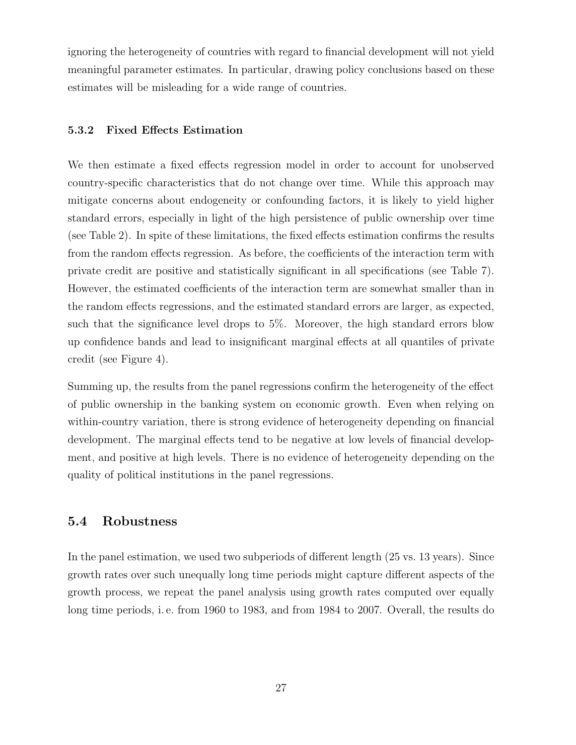ignoring the heterogeneity of countries with regard to financial development will not yield meaningful parameter estimates. In particular, drawing policy conclusions based on these estimates will be misleading for a wide range of countries.

#### 5.3.2 Fixed Effects Estimation

We then estimate a fixed effects regression model in order to account for unobserved country-specific characteristics that do not change over time. While this approach may mitigate concerns about endogeneity or confounding factors, it is likely to yield higher standard errors, especially in light of the high persistence of public ownership over time (see Table 2). In spite of these limitations, the fixed effects estimation confirms the results from the random effects regression. As before, the coefficients of the interaction term with private credit are positive and statistically significant in all specifications (see Table 7). However, the estimated coefficients of the interaction term are somewhat smaller than in the random effects regressions, and the estimated standard errors are larger, as expected, such that the significance level drops to 5%. Moreover, the high standard errors blow up confidence bands and lead to insignificant marginal effects at all quantiles of private credit (see Figure 4).

Summing up, the results from the panel regressions confirm the heterogeneity of the effect of public ownership in the banking system on economic growth. Even when relying on within-country variation, there is strong evidence of heterogeneity depending on financial development. The marginal effects tend to be negative at low levels of financial development, and positive at high levels. There is no evidence of heterogeneity depending on the quality of political institutions in the panel regressions.

#### 5.4 Robustness

In the panel estimation, we used two subperiods of different length (25 vs. 13 years). Since growth rates over such unequally long time periods might capture different aspects of the growth process, we repeat the panel analysis using growth rates computed over equally long time periods, i. e. from 1960 to 1983, and from 1984 to 2007. Overall, the results do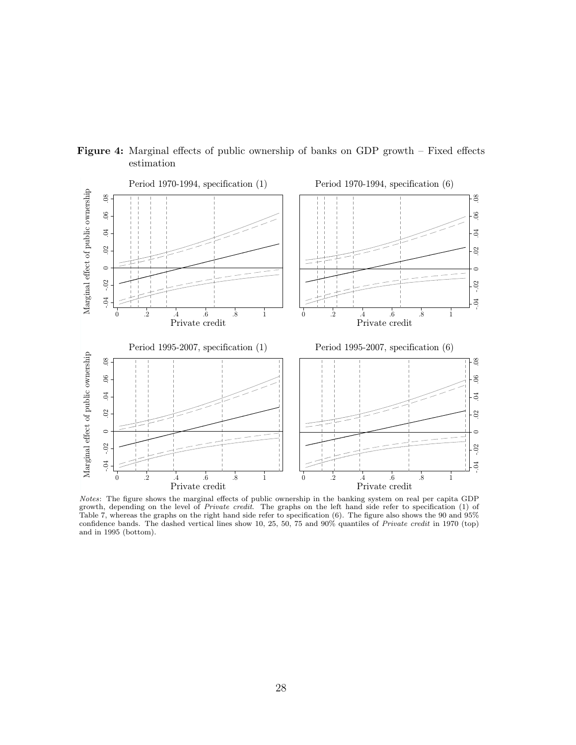

Figure 4: Marginal effects of public ownership of banks on GDP growth – Fixed effects estimation

Notes: The figure shows the marginal effects of public ownership in the banking system on real per capita GDP growth, depending on the level of *Private credit*. The graphs on the left hand side refer to specification (1) of Table 7, whereas the graphs on the right hand side refer to specification (6). The figure also shows the 90 and 95% confidence bands. The dashed vertical lines show 10, 25, 50, 75 and 90% quantiles of Private credit in 1970 (top) and in 1995 (bottom).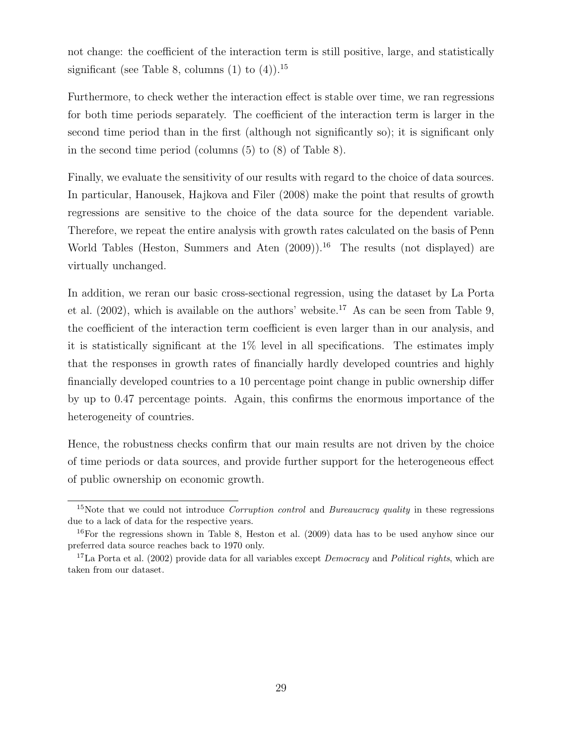not change: the coefficient of the interaction term is still positive, large, and statistically significant (see Table 8, columns  $(1)$  to  $(4)$ ).<sup>15</sup>

Furthermore, to check wether the interaction effect is stable over time, we ran regressions for both time periods separately. The coefficient of the interaction term is larger in the second time period than in the first (although not significantly so); it is significant only in the second time period (columns (5) to (8) of Table 8).

Finally, we evaluate the sensitivity of our results with regard to the choice of data sources. In particular, Hanousek, Hajkova and Filer (2008) make the point that results of growth regressions are sensitive to the choice of the data source for the dependent variable. Therefore, we repeat the entire analysis with growth rates calculated on the basis of Penn World Tables (Heston, Summers and Aten  $(2009)$ ).<sup>16</sup> The results (not displayed) are virtually unchanged.

In addition, we reran our basic cross-sectional regression, using the dataset by La Porta et al.  $(2002)$ , which is available on the authors' website.<sup>17</sup> As can be seen from Table 9, the coefficient of the interaction term coefficient is even larger than in our analysis, and it is statistically significant at the 1% level in all specifications. The estimates imply that the responses in growth rates of financially hardly developed countries and highly financially developed countries to a 10 percentage point change in public ownership differ by up to 0.47 percentage points. Again, this confirms the enormous importance of the heterogeneity of countries.

Hence, the robustness checks confirm that our main results are not driven by the choice of time periods or data sources, and provide further support for the heterogeneous effect of public ownership on economic growth.

<sup>&</sup>lt;sup>15</sup>Note that we could not introduce *Corruption control* and *Bureaucracy quality* in these regressions due to a lack of data for the respective years.

 $16$ For the regressions shown in Table 8, Heston et al. (2009) data has to be used anyhow since our preferred data source reaches back to 1970 only.

<sup>&</sup>lt;sup>17</sup>La Porta et al. (2002) provide data for all variables except *Democracy* and *Political rights*, which are taken from our dataset.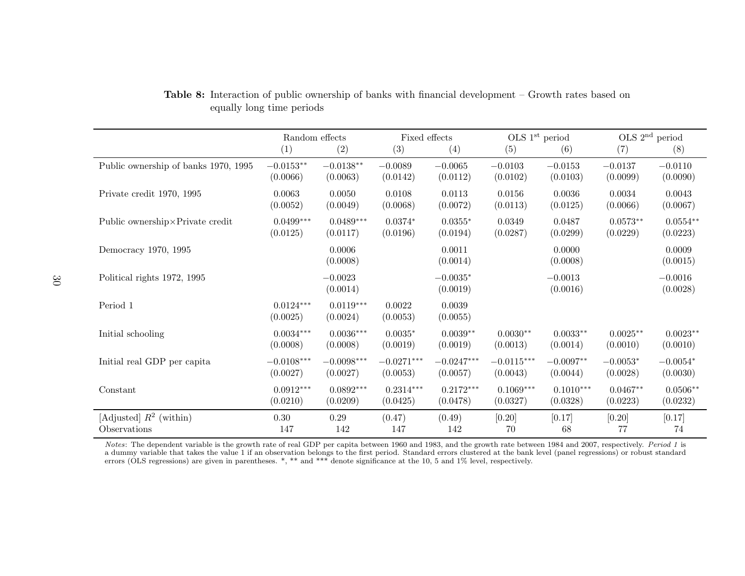|                                      | Random effects          |                         | Fixed effects      |                        | OLS 1 <sup>st</sup> period |                       | $OLS$ 2 <sup>nd</sup> period |                       |  |
|--------------------------------------|-------------------------|-------------------------|--------------------|------------------------|----------------------------|-----------------------|------------------------------|-----------------------|--|
|                                      | (1)                     | (2)                     | (3)                | (4)                    | (5)                        | (6)                   | (7)                          | (8)                   |  |
| Public ownership of banks 1970, 1995 | $-0.0153**$             | $-0.0138**$             | $-0.0089$          | $-0.0065$              | $-0.0103$                  | $-0.0153$             | $-0.0137$                    | $-0.0110$             |  |
|                                      | (0.0066)                | (0.0063)                | (0.0142)           | (0.0112)               | (0.0102)                   | (0.0103)              | (0.0099)                     | (0.0090)              |  |
| Private credit 1970, 1995            | 0.0063                  | 0.0050                  | 0.0108             | 0.0113                 | 0.0156                     | 0.0036                | 0.0034                       | 0.0043                |  |
|                                      | (0.0052)                | (0.0049)                | (0.0068)           | (0.0072)               | (0.0113)                   | (0.0125)              | (0.0066)                     | (0.0067)              |  |
| Public ownership×Private credit      | $0.0499***$             | $0.0489***$             | $0.0374*$          | $0.0355*$              | 0.0349                     | 0.0487                | $0.0573**$                   | $0.0554**$            |  |
|                                      | (0.0125)                | (0.0117)                | (0.0196)           | (0.0194)               | (0.0287)                   | (0.0299)              | (0.0229)                     | (0.0223)              |  |
| Democracy 1970, 1995                 |                         | 0.0006<br>(0.0008)      |                    | 0.0011<br>(0.0014)     |                            | 0.0000<br>(0.0008)    |                              | 0.0009<br>(0.0015)    |  |
| Political rights 1972, 1995          |                         | $-0.0023$<br>(0.0014)   |                    | $-0.0035*$<br>(0.0019) |                            | $-0.0013$<br>(0.0016) |                              | $-0.0016$<br>(0.0028) |  |
| Period 1                             | $0.0124***$<br>(0.0025) | $0.0119***$<br>(0.0024) | 0.0022<br>(0.0053) | 0.0039<br>(0.0055)     |                            |                       |                              |                       |  |
| Initial schooling                    | $0.0034***$             | $0.0036***$             | $0.0035*$          | $0.0039**$             | $0.0030**$                 | $0.0033**$            | $0.0025**$                   | $0.0023**$            |  |
|                                      | (0.0008)                | (0.0008)                | (0.0019)           | (0.0019)               | (0.0013)                   | (0.0014)              | (0.0010)                     | (0.0010)              |  |
| Initial real GDP per capita          | $-0.0108***$            | $-0.0098***$            | $-0.0271***$       | $-0.0247***$           | $-0.0115***$               | $-0.0097**$           | $-0.0053*$                   | $-0.0054*$            |  |
|                                      | (0.0027)                | (0.0027)                | (0.0053)           | (0.0057)               | (0.0043)                   | (0.0044)              | (0.0028)                     | (0.0030)              |  |
| Constant                             | $0.0912***$             | $0.0892***$             | $0.2314***$        | $0.2172***$            | $0.1069***$                | $0.1010***$           | $0.0467**$                   | $0.0506**$            |  |
|                                      | (0.0210)                | (0.0209)                | (0.0425)           | (0.0478)               | (0.0327)                   | (0.0328)              | (0.0223)                     | (0.0232)              |  |
| [Adjusted] $R^2$ (within)            | 0.30                    | 0.29                    | (0.47)             | (0.49)                 | [0.20]                     | [0.17]                | [0.20]                       | [0.17]                |  |
| Observations                         | 147                     | 142                     | 147                | 142                    | 70                         | 68                    | 77                           | 74                    |  |

Table 8: Interaction of public ownership of banks with financial development – Growth rates based onequally long time periods

*Notes*: The dependent variable is the growth rate of real GDP per capita between 1960 and 1983, and the growth rate between 1984 and 2007, respectively. *Period 1* is<br>a dummy variable that takes the value 1 if an observa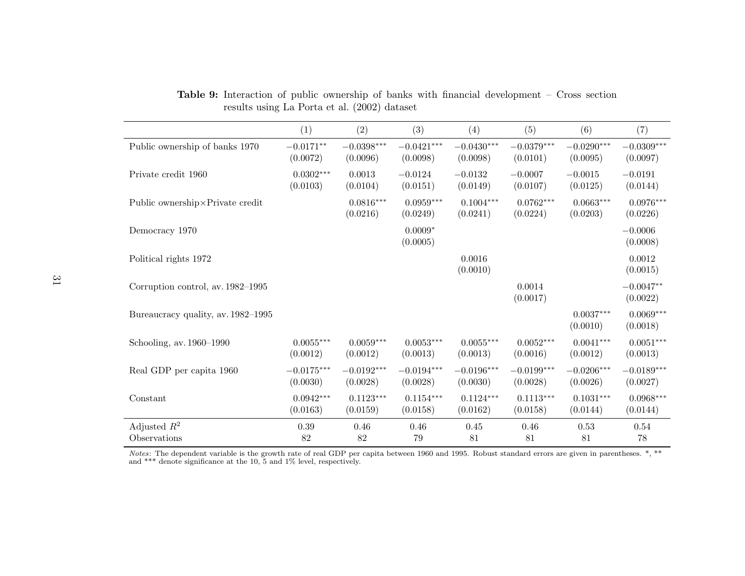|                                    | (1)          | (2)                      | (3)                     | (4)                      | (5)                     | (6)                     | (7)                     |
|------------------------------------|--------------|--------------------------|-------------------------|--------------------------|-------------------------|-------------------------|-------------------------|
| Public ownership of banks 1970     | $-0.0171**$  | $-0.0398^{\ast\ast\ast}$ | $-0.0421***$            | $-0.0430***$             | $-0.0379***$            | $-0.0290***$            | $-0.0309***$            |
|                                    | (0.0072)     | (0.0096)                 | (0.0098)                | (0.0098)                 | (0.0101)                | (0.0095)                | (0.0097)                |
| Private credit 1960                | $0.0302***$  | 0.0013                   | $-0.0124$               | $-0.0132$                | $-0.0007$               | $-0.0015$               | $-0.0191$               |
|                                    | (0.0103)     | (0.0104)                 | (0.0151)                | (0.0149)                 | (0.0107)                | (0.0125)                | (0.0144)                |
| Public ownership×Private credit    |              | $0.0816***$<br>(0.0216)  | $0.0959***$<br>(0.0249) | $0.1004***$<br>(0.0241)  | $0.0762***$<br>(0.0224) | $0.0663***$<br>(0.0203) | $0.0976***$<br>(0.0226) |
| Democracy 1970                     |              |                          | $0.0009*$<br>(0.0005)   |                          |                         |                         | $-0.0006$<br>(0.0008)   |
| Political rights 1972              |              |                          |                         | 0.0016<br>(0.0010)       |                         |                         | 0.0012<br>(0.0015)      |
| Corruption control, av. 1982–1995  |              |                          |                         |                          | 0.0014<br>(0.0017)      |                         | $-0.0047**$<br>(0.0022) |
| Bureaucracy quality, av. 1982–1995 |              |                          |                         |                          |                         | $0.0037***$<br>(0.0010) | $0.0069***$<br>(0.0018) |
| Schooling, av. 1960–1990           | $0.0055***$  | $0.0059***$              | $0.0053***$             | $0.0055***$              | $0.0052***$             | $0.0041***$             | $0.0051***$             |
|                                    | (0.0012)     | (0.0012)                 | (0.0013)                | (0.0013)                 | (0.0016)                | (0.0012)                | (0.0013)                |
| Real GDP per capita 1960           | $-0.0175***$ | $-0.0192***$             | $-0.0194***$            | $-0.0196^{\ast\ast\ast}$ | $-0.0199***$            | $-0.0206***$            | $-0.0189***$            |
|                                    | (0.0030)     | (0.0028)                 | (0.0028)                | (0.0030)                 | (0.0028)                | (0.0026)                | (0.0027)                |
| Constant                           | $0.0942***$  | $0.1123***$              | $0.1154***$             | $0.1124***$              | $0.1113***$             | $0.1031***$             | $0.0968***$             |
|                                    | (0.0163)     | (0.0159)                 | (0.0158)                | (0.0162)                 | (0.0158)                | (0.0144)                | (0.0144)                |
| Adjusted $R^2$                     | $0.39\,$     | 0.46                     | 0.46                    | 0.45                     | 0.46                    | 0.53                    | 0.54                    |
| Observations                       | 82           | 82                       | 79                      | 81                       | 81                      | 81                      | $78\,$                  |

Table 9: Interaction of public ownership of banks with financial development – Cross sectionresults using La Porta et al. (2002) dataset

*Notes*: The dependent variable is the growth rate of real GDP per capita between 1960 and 1995. Robust standard errors are given in parentheses. \*, \*\* and \*\*\* denote significance at the 10, 5 and 1% level, respectively.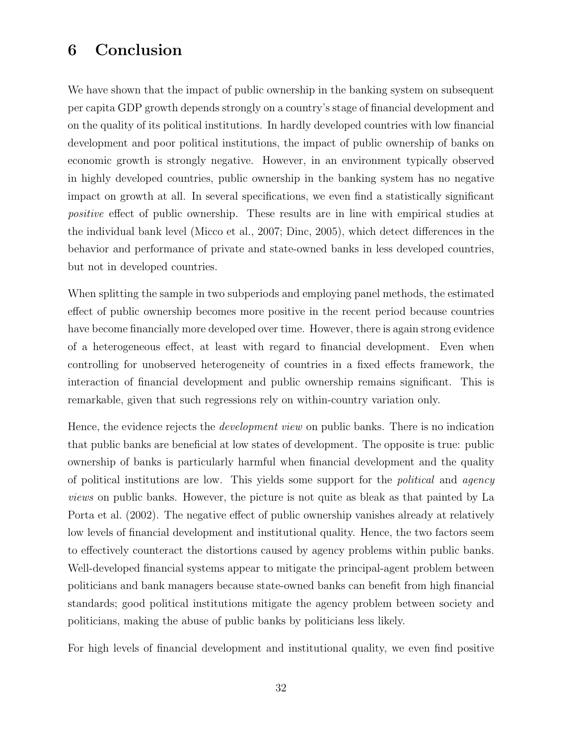# 6 Conclusion

We have shown that the impact of public ownership in the banking system on subsequent per capita GDP growth depends strongly on a country's stage of financial development and on the quality of its political institutions. In hardly developed countries with low financial development and poor political institutions, the impact of public ownership of banks on economic growth is strongly negative. However, in an environment typically observed in highly developed countries, public ownership in the banking system has no negative impact on growth at all. In several specifications, we even find a statistically significant positive effect of public ownership. These results are in line with empirical studies at the individual bank level (Micco et al., 2007; Dinc, 2005), which detect differences in the behavior and performance of private and state-owned banks in less developed countries, but not in developed countries.

When splitting the sample in two subperiods and employing panel methods, the estimated effect of public ownership becomes more positive in the recent period because countries have become financially more developed over time. However, there is again strong evidence of a heterogeneous effect, at least with regard to financial development. Even when controlling for unobserved heterogeneity of countries in a fixed effects framework, the interaction of financial development and public ownership remains significant. This is remarkable, given that such regressions rely on within-country variation only.

Hence, the evidence rejects the *development view* on public banks. There is no indication that public banks are beneficial at low states of development. The opposite is true: public ownership of banks is particularly harmful when financial development and the quality of political institutions are low. This yields some support for the political and agency views on public banks. However, the picture is not quite as bleak as that painted by La Porta et al. (2002). The negative effect of public ownership vanishes already at relatively low levels of financial development and institutional quality. Hence, the two factors seem to effectively counteract the distortions caused by agency problems within public banks. Well-developed financial systems appear to mitigate the principal-agent problem between politicians and bank managers because state-owned banks can benefit from high financial standards; good political institutions mitigate the agency problem between society and politicians, making the abuse of public banks by politicians less likely.

For high levels of financial development and institutional quality, we even find positive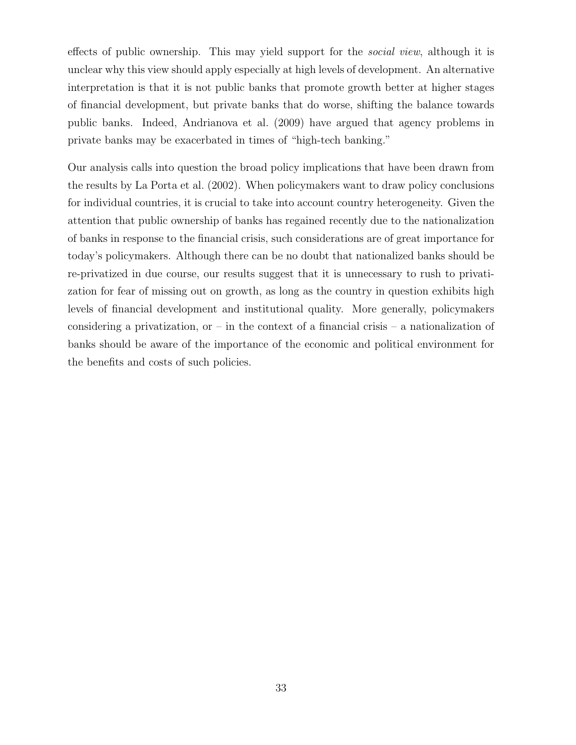effects of public ownership. This may yield support for the *social view*, although it is unclear why this view should apply especially at high levels of development. An alternative interpretation is that it is not public banks that promote growth better at higher stages of financial development, but private banks that do worse, shifting the balance towards public banks. Indeed, Andrianova et al. (2009) have argued that agency problems in private banks may be exacerbated in times of "high-tech banking."

Our analysis calls into question the broad policy implications that have been drawn from the results by La Porta et al. (2002). When policymakers want to draw policy conclusions for individual countries, it is crucial to take into account country heterogeneity. Given the attention that public ownership of banks has regained recently due to the nationalization of banks in response to the financial crisis, such considerations are of great importance for today's policymakers. Although there can be no doubt that nationalized banks should be re-privatized in due course, our results suggest that it is unnecessary to rush to privatization for fear of missing out on growth, as long as the country in question exhibits high levels of financial development and institutional quality. More generally, policymakers considering a privatization, or – in the context of a financial crisis – a nationalization of banks should be aware of the importance of the economic and political environment for the benefits and costs of such policies.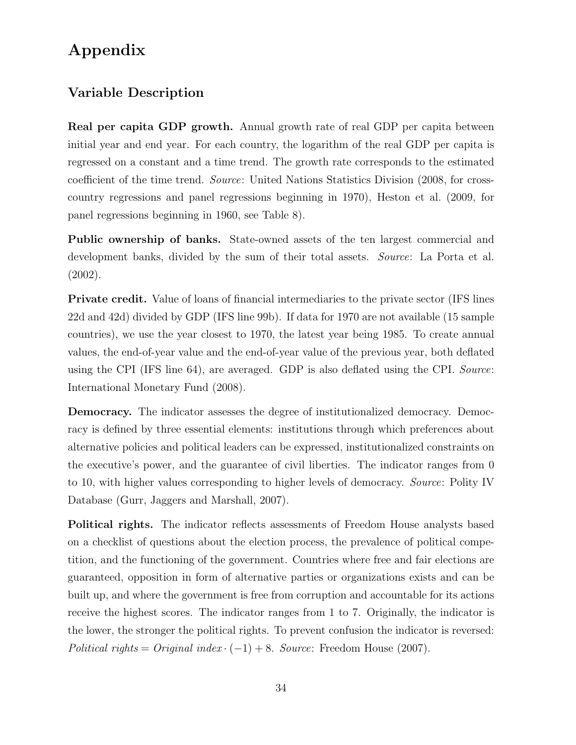# Appendix

### Variable Description

Real per capita GDP growth. Annual growth rate of real GDP per capita between initial year and end year. For each country, the logarithm of the real GDP per capita is regressed on a constant and a time trend. The growth rate corresponds to the estimated coefficient of the time trend. Source: United Nations Statistics Division (2008, for crosscountry regressions and panel regressions beginning in 1970), Heston et al. (2009, for panel regressions beginning in 1960, see Table 8).

Public ownership of banks. State-owned assets of the ten largest commercial and development banks, divided by the sum of their total assets. Source: La Porta et al. (2002).

Private credit. Value of loans of financial intermediaries to the private sector (IFS lines 22d and 42d) divided by GDP (IFS line 99b). If data for 1970 are not available (15 sample countries), we use the year closest to 1970, the latest year being 1985. To create annual values, the end-of-year value and the end-of-year value of the previous year, both deflated using the CPI (IFS line 64), are averaged. GDP is also deflated using the CPI. Source: International Monetary Fund (2008).

Democracy. The indicator assesses the degree of institutionalized democracy. Democracy is defined by three essential elements: institutions through which preferences about alternative policies and political leaders can be expressed, institutionalized constraints on the executive's power, and the guarantee of civil liberties. The indicator ranges from 0 to 10, with higher values corresponding to higher levels of democracy. Source: Polity IV Database (Gurr, Jaggers and Marshall, 2007).

Political rights. The indicator reflects assessments of Freedom House analysts based on a checklist of questions about the election process, the prevalence of political competition, and the functioning of the government. Countries where free and fair elections are guaranteed, opposition in form of alternative parties or organizations exists and can be built up, and where the government is free from corruption and accountable for its actions receive the highest scores. The indicator ranges from 1 to 7. Originally, the indicator is the lower, the stronger the political rights. To prevent confusion the indicator is reversed: Political rights = Original index  $\cdot$  (-1) + 8. Source: Freedom House (2007).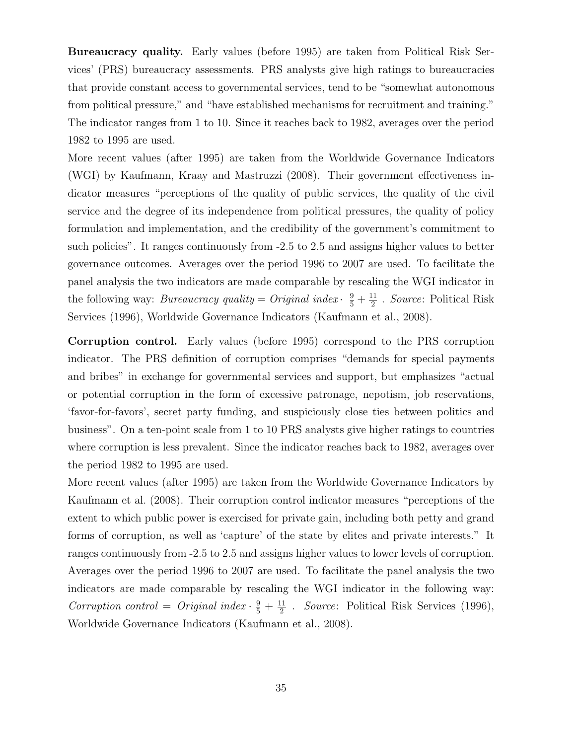Bureaucracy quality. Early values (before 1995) are taken from Political Risk Services' (PRS) bureaucracy assessments. PRS analysts give high ratings to bureaucracies that provide constant access to governmental services, tend to be "somewhat autonomous from political pressure," and "have established mechanisms for recruitment and training." The indicator ranges from 1 to 10. Since it reaches back to 1982, averages over the period 1982 to 1995 are used.

More recent values (after 1995) are taken from the Worldwide Governance Indicators (WGI) by Kaufmann, Kraay and Mastruzzi (2008). Their government effectiveness indicator measures "perceptions of the quality of public services, the quality of the civil service and the degree of its independence from political pressures, the quality of policy formulation and implementation, and the credibility of the government's commitment to such policies". It ranges continuously from -2.5 to 2.5 and assigns higher values to better governance outcomes. Averages over the period 1996 to 2007 are used. To facilitate the panel analysis the two indicators are made comparable by rescaling the WGI indicator in the following way: *Bureaucracy quality* = *Original index*  $\cdot$   $\frac{9}{5} + \frac{11}{2}$  $\frac{11}{2}$ . Source: Political Risk Services (1996), Worldwide Governance Indicators (Kaufmann et al., 2008).

Corruption control. Early values (before 1995) correspond to the PRS corruption indicator. The PRS definition of corruption comprises "demands for special payments and bribes" in exchange for governmental services and support, but emphasizes "actual or potential corruption in the form of excessive patronage, nepotism, job reservations, 'favor-for-favors', secret party funding, and suspiciously close ties between politics and business". On a ten-point scale from 1 to 10 PRS analysts give higher ratings to countries where corruption is less prevalent. Since the indicator reaches back to 1982, averages over the period 1982 to 1995 are used.

More recent values (after 1995) are taken from the Worldwide Governance Indicators by Kaufmann et al. (2008). Their corruption control indicator measures "perceptions of the extent to which public power is exercised for private gain, including both petty and grand forms of corruption, as well as 'capture' of the state by elites and private interests." It ranges continuously from -2.5 to 2.5 and assigns higher values to lower levels of corruption. Averages over the period 1996 to 2007 are used. To facilitate the panel analysis the two indicators are made comparable by rescaling the WGI indicator in the following way: Corruption control = Original index  $\cdot \frac{9}{5} + \frac{11}{2}$  $\frac{11}{2}$  . Source: Political Risk Services (1996), Worldwide Governance Indicators (Kaufmann et al., 2008).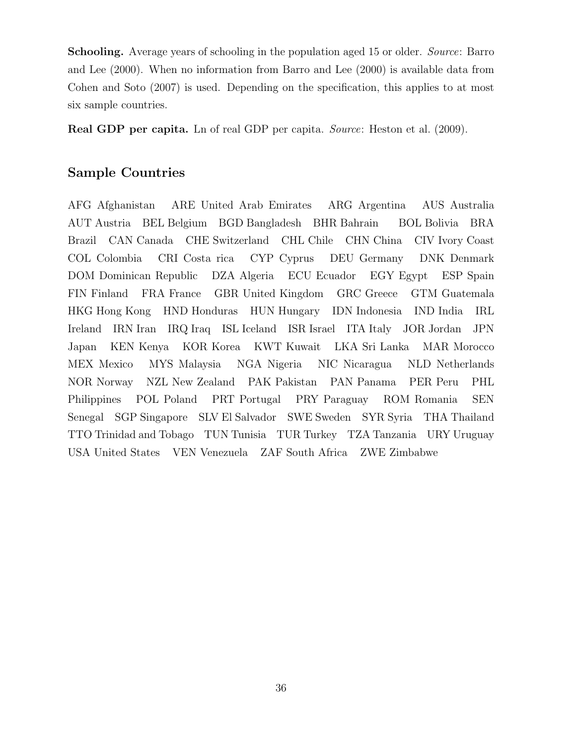Schooling. Average years of schooling in the population aged 15 or older. Source: Barro and Lee (2000). When no information from Barro and Lee (2000) is available data from Cohen and Soto (2007) is used. Depending on the specification, this applies to at most six sample countries.

Real GDP per capita. Ln of real GDP per capita. Source: Heston et al. (2009).

#### Sample Countries

AFG Afghanistan ARE United Arab Emirates ARG Argentina AUS Australia AUT Austria BEL Belgium BGD Bangladesh BHR Bahrain BOL Bolivia BRA Brazil CAN Canada CHE Switzerland CHL Chile CHN China CIV Ivory Coast COL Colombia CRI Costa rica CYP Cyprus DEU Germany DNK Denmark DOM Dominican Republic DZA Algeria ECU Ecuador EGY Egypt ESP Spain FIN Finland FRA France GBR United Kingdom GRC Greece GTM Guatemala HKG Hong Kong HND Honduras HUN Hungary IDN Indonesia IND India IRL Ireland IRN Iran IRQ Iraq ISL Iceland ISR Israel ITA Italy JOR Jordan JPN Japan KEN Kenya KOR Korea KWT Kuwait LKA Sri Lanka MAR Morocco MEX Mexico MYS Malaysia NGA Nigeria NIC Nicaragua NLD Netherlands NOR Norway NZL New Zealand PAK Pakistan PAN Panama PER Peru PHL Philippines POL Poland PRT Portugal PRY Paraguay ROM Romania SEN Senegal SGP Singapore SLV El Salvador SWE Sweden SYR Syria THA Thailand TTO Trinidad and Tobago TUN Tunisia TUR Turkey TZA Tanzania URY Uruguay USA United States VEN Venezuela ZAF South Africa ZWE Zimbabwe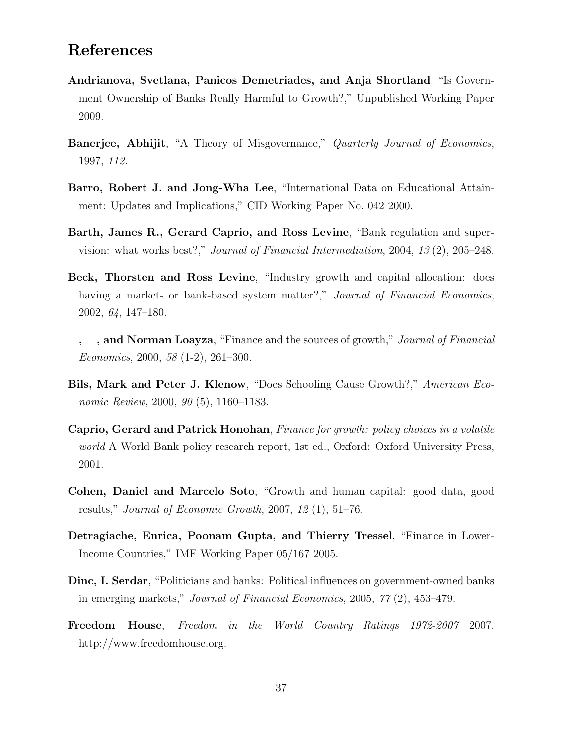## References

- Andrianova, Svetlana, Panicos Demetriades, and Anja Shortland, "Is Government Ownership of Banks Really Harmful to Growth?," Unpublished Working Paper 2009.
- **Banerjee, Abhijit,** "A Theory of Misgovernance," *Quarterly Journal of Economics*, 1997, 112.
- Barro, Robert J. and Jong-Wha Lee, "International Data on Educational Attainment: Updates and Implications," CID Working Paper No. 042 2000.
- Barth, James R., Gerard Caprio, and Ross Levine, "Bank regulation and supervision: what works best?," Journal of Financial Intermediation, 2004, 13 (2), 205–248.
- Beck, Thorsten and Ross Levine, "Industry growth and capital allocation: does having a market- or bank-based system matter?," Journal of Financial Economics, 2002, 64, 147–180.
- $\ldots$ , and Norman Loayza, "Finance and the sources of growth," Journal of Financial Economics, 2000, 58 (1-2), 261–300.
- Bils, Mark and Peter J. Klenow, "Does Schooling Cause Growth?," American Economic Review, 2000, 90 (5), 1160-1183.
- Caprio, Gerard and Patrick Honohan, Finance for growth: policy choices in a volatile world A World Bank policy research report, 1st ed., Oxford: Oxford University Press, 2001.
- Cohen, Daniel and Marcelo Soto, "Growth and human capital: good data, good results," Journal of Economic Growth,  $2007$ ,  $12$  (1),  $51-76$ .
- Detragiache, Enrica, Poonam Gupta, and Thierry Tressel, "Finance in Lower-Income Countries," IMF Working Paper 05/167 2005.
- Dinc, I. Serdar, "Politicians and banks: Political influences on government-owned banks in emerging markets," Journal of Financial Economics, 2005, 77 (2), 453–479.
- Freedom House, Freedom in the World Country Ratings 1972-2007 2007. http://www.freedomhouse.org.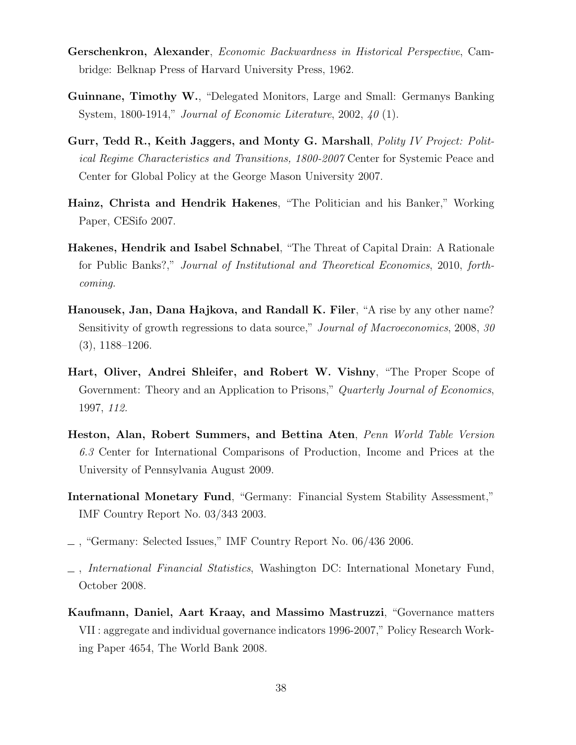- Gerschenkron, Alexander, Economic Backwardness in Historical Perspective, Cambridge: Belknap Press of Harvard University Press, 1962.
- Guinnane, Timothy W., "Delegated Monitors, Large and Small: Germanys Banking System, 1800-1914," Journal of Economic Literature, 2002, 40 (1).
- Gurr, Tedd R., Keith Jaggers, and Monty G. Marshall, *Polity IV Project: Polit*ical Regime Characteristics and Transitions, 1800-2007 Center for Systemic Peace and Center for Global Policy at the George Mason University 2007.
- Hainz, Christa and Hendrik Hakenes, "The Politician and his Banker," Working Paper, CESifo 2007.
- Hakenes, Hendrik and Isabel Schnabel, "The Threat of Capital Drain: A Rationale for Public Banks?," Journal of Institutional and Theoretical Economics, 2010, forthcoming.
- Hanousek, Jan, Dana Hajkova, and Randall K. Filer, "A rise by any other name? Sensitivity of growth regressions to data source," Journal of Macroeconomics, 2008, 30 (3), 1188–1206.
- Hart, Oliver, Andrei Shleifer, and Robert W. Vishny, "The Proper Scope of Government: Theory and an Application to Prisons," Quarterly Journal of Economics, 1997, 112.
- Heston, Alan, Robert Summers, and Bettina Aten, Penn World Table Version 6.3 Center for International Comparisons of Production, Income and Prices at the University of Pennsylvania August 2009.
- International Monetary Fund, "Germany: Financial System Stability Assessment," IMF Country Report No. 03/343 2003.
- $\_$ , "Germany: Selected Issues," IMF Country Report No. 06/436 2006.
- , International Financial Statistics, Washington DC: International Monetary Fund, October 2008.
- Kaufmann, Daniel, Aart Kraay, and Massimo Mastruzzi, "Governance matters VII : aggregate and individual governance indicators 1996-2007," Policy Research Working Paper 4654, The World Bank 2008.